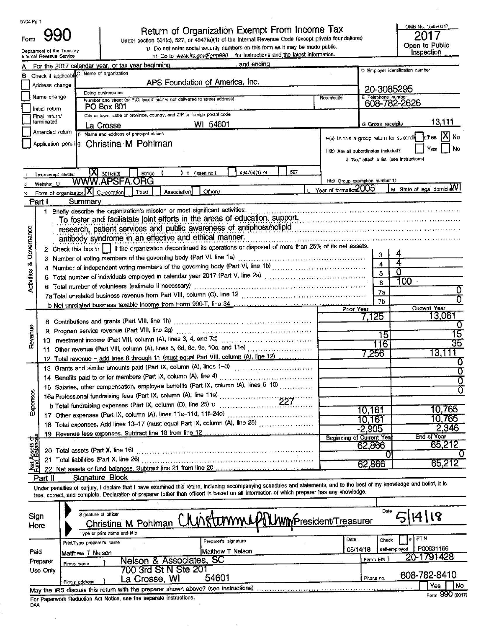| 5104 Pg 1                                                                                 | ngr                                                                 | Return of Organization Exempt From Income Tax                                                                                                                                       |                                     |                    | OMB No. 1545-0047                              |  |  |  |  |  |  |
|-------------------------------------------------------------------------------------------|---------------------------------------------------------------------|-------------------------------------------------------------------------------------------------------------------------------------------------------------------------------------|-------------------------------------|--------------------|------------------------------------------------|--|--|--|--|--|--|
| Form                                                                                      | Department of the Treasury                                          | Under section 501(c), 527, or 4947(a)(1) of the Internal Revenue Code (except private foundations)<br>U Do not enter social security numbers on this form as it may be made public. |                                     |                    | Open to Public<br>Inspection                   |  |  |  |  |  |  |
|                                                                                           | Internal Revenue Service                                            | 1) Go to www.irs.gov/Form990 for instructions and the latest information.<br>and ending                                                                                             |                                     |                    |                                                |  |  |  |  |  |  |
|                                                                                           |                                                                     | For the 2017 calendar year, or tax year beginning<br>Name of organization                                                                                                           |                                     |                    | D Employer identification number               |  |  |  |  |  |  |
| В                                                                                         | Check if applicable. <sup>C</sup>                                   | APS Foundation of America, Inc.                                                                                                                                                     |                                     |                    |                                                |  |  |  |  |  |  |
|                                                                                           | Address change                                                      |                                                                                                                                                                                     |                                     |                    | 20-3085295                                     |  |  |  |  |  |  |
|                                                                                           | Name change                                                         | Doing business as<br>Number and street (or P.O. box if mail is not delivered to street address)                                                                                     | Room/suite                          | E Telephone number |                                                |  |  |  |  |  |  |
| Initial return                                                                            | 608-782-2626                                                        |                                                                                                                                                                                     |                                     |                    |                                                |  |  |  |  |  |  |
| City or town, state or province, country, and ZIP or foreign postal code<br>Final return/ |                                                                     |                                                                                                                                                                                     |                                     |                    |                                                |  |  |  |  |  |  |
|                                                                                           | terminated                                                          | 54601<br>WI<br>La Crosse                                                                                                                                                            |                                     | G Gross receipts   | 13,111                                         |  |  |  |  |  |  |
|                                                                                           | Amended return                                                      | Name and address of principal officer:                                                                                                                                              |                                     |                    | H(a) is this a group return for subordin sizes |  |  |  |  |  |  |
| Application pending Christina M Pohlman                                                   | l No                                                                |                                                                                                                                                                                     |                                     |                    |                                                |  |  |  |  |  |  |
|                                                                                           |                                                                     |                                                                                                                                                                                     | H(b) Are all subordinates included? |                    | Yes                                            |  |  |  |  |  |  |
|                                                                                           |                                                                     |                                                                                                                                                                                     |                                     |                    | Il 'No,' attach a list. (see instructions)     |  |  |  |  |  |  |
|                                                                                           | Tax-exempt status:                                                  | 527<br>4947(a)(1) or<br>(insert no.)<br>501(c)<br>$501($ c $)(3)$                                                                                                                   |                                     |                    |                                                |  |  |  |  |  |  |
|                                                                                           | Website: U                                                          |                                                                                                                                                                                     | H(c) Group exemption number 1)      |                    |                                                |  |  |  |  |  |  |
|                                                                                           |                                                                     | Othert)<br>Association<br>Form of organization A Corporation<br>Trust                                                                                                               | Year of formation 2005              |                    | M State of legal domicile VI                   |  |  |  |  |  |  |
|                                                                                           | Part I                                                              | Summary                                                                                                                                                                             |                                     |                    |                                                |  |  |  |  |  |  |
|                                                                                           |                                                                     | Briefly describe the organization's mission or most significant activities:                                                                                                         |                                     |                    |                                                |  |  |  |  |  |  |
|                                                                                           |                                                                     | To foster and faciliatate joint efforts in the areas of education, support, manuscription, and faciliate in                                                                         |                                     |                    |                                                |  |  |  |  |  |  |
|                                                                                           | research, patient services and public awareness of antiphospholipid |                                                                                                                                                                                     |                                     |                    |                                                |  |  |  |  |  |  |
|                                                                                           | antibody syndrome in an effective and ethical manner.               |                                                                                                                                                                                     |                                     |                    |                                                |  |  |  |  |  |  |
| Governance                                                                                |                                                                     | 2 Check this box $v$     if the organization discontinued its operations or disposed of more than 25% of its net assets.                                                            |                                     |                    |                                                |  |  |  |  |  |  |
|                                                                                           |                                                                     |                                                                                                                                                                                     |                                     | 3                  |                                                |  |  |  |  |  |  |
| œ                                                                                         |                                                                     | 4 Number of independent voting members of the governing body (Part VI, line 1b)                                                                                                     |                                     | 4                  |                                                |  |  |  |  |  |  |
| 8                                                                                         |                                                                     | Total number of individuals employed in calendar year 2017 (Part V, line 2a) [[[[[[[[[[[[[[[[[[[[[[[[[[[[[[[[                                                                       |                                     | 5                  |                                                |  |  |  |  |  |  |
|                                                                                           |                                                                     | 6 Total number of volunteers (estimate if necessary) contracts and contracts are resources and number of volunteers (estimate if necessary)                                         |                                     |                    | l OO                                           |  |  |  |  |  |  |
|                                                                                           |                                                                     | 7a Total unrelated business revenue from Part VIII, column (C), line 12 <i>manumerana contenamerana contenamerana</i>                                                               |                                     | 7a                 |                                                |  |  |  |  |  |  |
|                                                                                           |                                                                     |                                                                                                                                                                                     | <b>Prior Year</b>                   | 7b                 | <b>Current Year</b>                            |  |  |  |  |  |  |
|                                                                                           |                                                                     |                                                                                                                                                                                     |                                     | $^{\prime}$ ,125   |                                                |  |  |  |  |  |  |
|                                                                                           |                                                                     | 8 Contributions and grants (Part VIII, line 1h)                                                                                                                                     |                                     |                    |                                                |  |  |  |  |  |  |
| Revenue                                                                                   |                                                                     |                                                                                                                                                                                     |                                     |                    |                                                |  |  |  |  |  |  |
|                                                                                           |                                                                     | 10 Investment income (Part VIII, column (A), lines 3, 4, and 7d)                                                                                                                    |                                     | 16                 |                                                |  |  |  |  |  |  |
|                                                                                           |                                                                     | 11 Other revenue (Part VIII, column (A), lines 5, 6d, 8c, 9c, 10c, and 11e)                                                                                                         |                                     | .256               | ا . J                                          |  |  |  |  |  |  |
|                                                                                           |                                                                     | 12 Total revenue - add lines 8 through 11 (must equal Part VIII, column (A), line 12)                                                                                               |                                     |                    |                                                |  |  |  |  |  |  |
|                                                                                           |                                                                     | 13 Grants and similar amounts paid (Part IX, column (A), lines 1-3) [10] Crants and similar amounts                                                                                 |                                     |                    |                                                |  |  |  |  |  |  |
|                                                                                           |                                                                     | 14 Benefits paid to or for members (Part IX, column (A), line 4)                                                                                                                    |                                     |                    |                                                |  |  |  |  |  |  |
|                                                                                           |                                                                     | 15 Salaries, other compensation, employee benefits (Part IX, column (A), lines 5-10)                                                                                                |                                     |                    |                                                |  |  |  |  |  |  |
| <b>NSBS</b>                                                                               |                                                                     | 16a Professional fundraising fees (Part IX, column (A), line 11e)                                                                                                                   |                                     |                    |                                                |  |  |  |  |  |  |
| 껓                                                                                         |                                                                     | b Total fundraising expenses (Part IX, column (D), line 25) $\upsilon$                                                                                                              |                                     | 10,161             | 10,765                                         |  |  |  |  |  |  |
|                                                                                           |                                                                     | 17 Other expenses (Part IX, column (A), lines 11a-11d, 11f-24e)                                                                                                                     |                                     | 10.161             | .765                                           |  |  |  |  |  |  |
|                                                                                           |                                                                     | 18 Total expenses. Add lines 13-17 (must equal Part IX, column (A), line 25)                                                                                                        |                                     | $-2,905$           | 2,346                                          |  |  |  |  |  |  |
|                                                                                           |                                                                     |                                                                                                                                                                                     | <b>Beginning of Current Year</b>    |                    | <b>End of Year</b>                             |  |  |  |  |  |  |
|                                                                                           |                                                                     |                                                                                                                                                                                     |                                     | 62,866             | 65,212                                         |  |  |  |  |  |  |
| t Assets dr<br>d. Balances                                                                |                                                                     |                                                                                                                                                                                     |                                     |                    |                                                |  |  |  |  |  |  |
|                                                                                           |                                                                     |                                                                                                                                                                                     |                                     | 62,866             | 65,212                                         |  |  |  |  |  |  |
|                                                                                           | Part II                                                             | Signature Block                                                                                                                                                                     |                                     |                    |                                                |  |  |  |  |  |  |
|                                                                                           |                                                                     | Under penalties of perjury, I declare that I have examined this return, including accompanying schedules and statements, and to the best of my knowledge and bellef, it is          |                                     |                    |                                                |  |  |  |  |  |  |
|                                                                                           |                                                                     | true, correct, and complete. Declaration of preparer (other than officer) is based on all information of which preparer has any knowledge.                                          |                                     |                    |                                                |  |  |  |  |  |  |
|                                                                                           |                                                                     |                                                                                                                                                                                     |                                     |                    |                                                |  |  |  |  |  |  |
|                                                                                           |                                                                     | Signature of officer                                                                                                                                                                |                                     | Date               |                                                |  |  |  |  |  |  |
| Sign<br>$\mathsf{H}\alpha$ rc                                                             |                                                                     | phature of officer<br>Christina M Pohlman C/UNRUMMUP MWMPresident/Treasurer                                                                                                         |                                     |                    |                                                |  |  |  |  |  |  |

|          | Print/Type preparer's name             |  |                                                                                   | Preparer's signature | Date.    | Check                                           | <b>PTIN</b>      |  |
|----------|----------------------------------------|--|-----------------------------------------------------------------------------------|----------------------|----------|-------------------------------------------------|------------------|--|
| Paid     | Matthew T Nelson                       |  |                                                                                   | Matthew T Nelson     | 05/14/18 | self-employed                                   | P00631166        |  |
| Preparer | Nelson & Associates, SC<br>Firm's name |  |                                                                                   |                      |          | Firm's $EN$ }                                   | 20-1791428       |  |
| Use Only |                                        |  | 700 3rd St N Ste 201<br>La Crosse, WI                                             | 54601                |          | Phone no.                                       | 608-782-8410     |  |
|          | Firm's address                         |  | May the IRS discuss this return with the preparer shown above? (see instructions) |                      |          | <b>NORTH A. R. P. LEWIS CO., LANSING, MICH.</b> | <b>No</b><br>Yes |  |

 $\mathcal{R}^1_{\mathcal{S}}$ 

93

 $\mathcal{U}$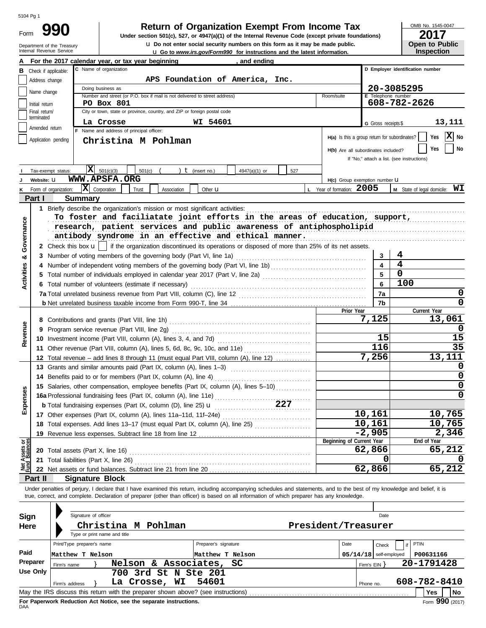Department of the Treasury<br>Internal Revenue Service Form

# **990 2017 Return of Organization Exempt From Income Tax**

**u** Go to *www.irs.gov/Form990* for instructions and the latest information. **u** Do not enter social security numbers on this form as it may be made public. **Under section 501(c), 527, or 4947(a)(1) of the Internal Revenue Code (except private foundations)** OMB No. 1545-0047

| ZU I <i>I</i>         |
|-----------------------|
| <b>Open to Public</b> |
| <b>Inspection</b>     |

|                                |                                | For the 2017 calendar year, or tax year beginning                                                                                                                          | and ending                                 |                                               |                          |                                                          |
|--------------------------------|--------------------------------|----------------------------------------------------------------------------------------------------------------------------------------------------------------------------|--------------------------------------------|-----------------------------------------------|--------------------------|----------------------------------------------------------|
|                                | <b>B</b> Check if applicable:  | C Name of organization                                                                                                                                                     |                                            |                                               |                          | D Employer identification number                         |
|                                | Address change                 |                                                                                                                                                                            | APS Foundation of America, Inc.            |                                               |                          |                                                          |
|                                |                                | Doing business as                                                                                                                                                          |                                            |                                               |                          | 20-3085295                                               |
|                                | Name change                    | Number and street (or P.O. box if mail is not delivered to street address)                                                                                                 |                                            | Room/suite                                    | E Telephone number       |                                                          |
|                                | Initial return                 | <b>PO Box 801</b>                                                                                                                                                          |                                            |                                               |                          | 608-782-2626                                             |
|                                | Final return/<br>terminated    | City or town, state or province, country, and ZIP or foreign postal code                                                                                                   |                                            |                                               |                          |                                                          |
|                                |                                | La Crosse                                                                                                                                                                  | WI 54601                                   |                                               | G Gross receipts \$      | 13,111                                                   |
|                                | Amended return                 | F Name and address of principal officer:                                                                                                                                   |                                            |                                               |                          |                                                          |
|                                | Application pending            | Christina M Pohlman                                                                                                                                                        |                                            | H(a) Is this a group return for subordinates? |                          | X No<br>Yes                                              |
|                                |                                |                                                                                                                                                                            |                                            | H(b) Are all subordinates included?           |                          | No<br>Yes                                                |
|                                |                                |                                                                                                                                                                            |                                            |                                               |                          | If "No," attach a list. (see instructions)               |
|                                |                                | $ \mathbf{X} $ 501(c)(3)                                                                                                                                                   |                                            |                                               |                          |                                                          |
|                                | Tax-exempt status:             | 501(c)                                                                                                                                                                     | ) $t$ (insert no.)<br>4947(a)(1) or<br>527 |                                               |                          |                                                          |
|                                | Website: U                     | WWW.APSFA.ORG                                                                                                                                                              |                                            | H(c) Group exemption number LI                |                          |                                                          |
| K                              | Form of organization:          | $ \mathbf{X} $ Corporation<br>Trust<br>Association                                                                                                                         | Other <b>u</b>                             | L Year of formation: 2005                     |                          | <b>M</b> State of legal domicile: $\mathbf{W}\mathbf{I}$ |
|                                | Part I                         | <b>Summary</b>                                                                                                                                                             |                                            |                                               |                          |                                                          |
|                                |                                | 1 Briefly describe the organization's mission or most significant activities:                                                                                              |                                            |                                               |                          |                                                          |
|                                |                                | To foster and faciliatate joint efforts in the areas of education, support,                                                                                                |                                            |                                               |                          |                                                          |
|                                |                                | research, patient services and public awareness of antiphospholipid                                                                                                        |                                            |                                               |                          |                                                          |
| Governance                     |                                | antibody syndrome in an effective and ethical manner.                                                                                                                      |                                            |                                               |                          |                                                          |
|                                |                                | 2 Check this box $\mathbf{u}$   if the organization discontinued its operations or disposed of more than 25% of its net assets.                                            |                                            |                                               |                          |                                                          |
| ఱ                              |                                |                                                                                                                                                                            |                                            |                                               | 3                        | 4                                                        |
|                                |                                |                                                                                                                                                                            |                                            |                                               |                          | 4                                                        |
|                                |                                | 5 Total number of individuals employed in calendar year 2017 (Part V, line 2a) [[[[[[[[[[[[[[[[[[[[[[[[[[[[[[[                                                             |                                            |                                               | 5                        | 0                                                        |
| <b>Activities</b>              |                                |                                                                                                                                                                            |                                            |                                               | 6                        | 100                                                      |
|                                |                                | 6 Total number of volunteers (estimate if necessary)                                                                                                                       |                                            |                                               |                          |                                                          |
|                                |                                |                                                                                                                                                                            |                                            |                                               | 7a                       | 0                                                        |
|                                |                                |                                                                                                                                                                            |                                            |                                               | 7b                       | 0                                                        |
|                                |                                |                                                                                                                                                                            |                                            | Prior Year                                    | 7,125                    | Current Year                                             |
|                                |                                |                                                                                                                                                                            |                                            |                                               |                          | 13,061                                                   |
| Revenue                        |                                | 9 Program service revenue (Part VIII, line 2g)                                                                                                                             |                                            |                                               |                          | 0                                                        |
|                                |                                |                                                                                                                                                                            |                                            |                                               | 15                       | 15                                                       |
|                                |                                | 11 Other revenue (Part VIII, column (A), lines 5, 6d, 8c, 9c, 10c, and 11e)                                                                                                |                                            |                                               | 116                      | 35                                                       |
|                                | 12                             | Total revenue – add lines 8 through 11 (must equal Part VIII, column (A), line 12)                                                                                         |                                            |                                               | 7,256                    | 13,111                                                   |
|                                |                                |                                                                                                                                                                            |                                            |                                               |                          | 0                                                        |
|                                |                                | 14 Benefits paid to or for members (Part IX, column (A), line 4)                                                                                                           |                                            |                                               | 0                        |                                                          |
|                                |                                | 15 Salaries, other compensation, employee benefits (Part IX, column (A), lines 5-10)                                                                                       |                                            |                                               |                          | 0                                                        |
|                                |                                |                                                                                                                                                                            |                                            |                                               |                          | 0                                                        |
| Expenses                       |                                |                                                                                                                                                                            |                                            |                                               |                          |                                                          |
|                                |                                | 17 Other expenses (Part IX, column (A), lines 11a-11d, 11f-24e)                                                                                                            |                                            |                                               | 10,161                   | 10,765                                                   |
|                                |                                |                                                                                                                                                                            |                                            |                                               | 10,161                   | 10,765                                                   |
|                                |                                | 18 Total expenses. Add lines 13-17 (must equal Part IX, column (A), line 25) [                                                                                             |                                            |                                               | $-2,905$                 | 2,346                                                    |
|                                |                                | 19 Revenue less expenses. Subtract line 18 from line 12                                                                                                                    |                                            | Beginning of Current Year                     |                          | End of Year                                              |
|                                |                                | 20 Total assets (Part X, line 16)                                                                                                                                          |                                            |                                               | 62,866                   | 65,212                                                   |
| Net Assets or<br>Fund Balances |                                | 21 Total liabilities (Part X, line 26)                                                                                                                                     |                                            |                                               | 0                        |                                                          |
|                                |                                |                                                                                                                                                                            |                                            |                                               | 62,866                   | 65,212                                                   |
|                                |                                |                                                                                                                                                                            |                                            |                                               |                          |                                                          |
|                                | Part II                        | <b>Signature Block</b>                                                                                                                                                     |                                            |                                               |                          |                                                          |
|                                |                                | Under penalties of perjury, I declare that I have examined this return, including accompanying schedules and statements, and to the best of my knowledge and belief, it is |                                            |                                               |                          |                                                          |
|                                |                                | true, correct, and complete. Declaration of preparer (other than officer) is based on all information of which preparer has any knowledge.                                 |                                            |                                               |                          |                                                          |
|                                |                                |                                                                                                                                                                            |                                            |                                               |                          |                                                          |
| Sign                           |                                | Signature of officer                                                                                                                                                       |                                            |                                               | Date                     |                                                          |
| Here                           |                                | Christina M Pohlman                                                                                                                                                        |                                            | President/Treasurer                           |                          |                                                          |
|                                |                                | Type or print name and title                                                                                                                                               |                                            |                                               |                          |                                                          |
|                                |                                | Print/Type preparer's name                                                                                                                                                 | Preparer's signature                       | Date                                          | Check                    | PTIN<br>if                                               |
| Paid                           |                                | Matthew T Nelson                                                                                                                                                           | Matthew T Nelson                           |                                               | $05/14/18$ self-employed | P00631166                                                |
|                                | <b>Preparer</b>                | Nelson & Associates,                                                                                                                                                       | SC                                         |                                               |                          | 20-1791428                                               |
|                                | Firm's name<br><b>Use Only</b> | 700 3rd St N Ste 201                                                                                                                                                       |                                            |                                               | Firm's $EIN$ }           |                                                          |
|                                |                                |                                                                                                                                                                            |                                            |                                               |                          | 608-782-8410                                             |
|                                | Firm's address                 | La Crosse, WI                                                                                                                                                              | 54601                                      |                                               | Phone no.                |                                                          |
|                                |                                | May the IRS discuss this return with the preparer shown above? (see instructions)                                                                                          |                                            |                                               |                          | Yes<br>No                                                |

| Sign<br>Here | Signature of officer<br>Christina M Pohlman<br>President/Treasurer<br>Type or print name and title |  |                                                                     |               |  |                                                                                   |                      |  |          | Date      |                            |               |              |      |
|--------------|----------------------------------------------------------------------------------------------------|--|---------------------------------------------------------------------|---------------|--|-----------------------------------------------------------------------------------|----------------------|--|----------|-----------|----------------------------|---------------|--------------|------|
|              | Print/Type preparer's name                                                                         |  |                                                                     |               |  |                                                                                   | Preparer's signature |  | Date     |           | Check                      |               | PTIN         |      |
| Paid         | Matthew T Nelson                                                                                   |  |                                                                     |               |  | Matthew T Nelson                                                                  |                      |  | 05/14/18 |           |                            | self-employed | P00631166    |      |
| Preparer     | Firm's name                                                                                        |  |                                                                     |               |  | Nelson & Associates, SC                                                           |                      |  |          |           | 20-1791428<br>Firm's $EIN$ |               |              |      |
| Use Only     |                                                                                                    |  |                                                                     |               |  | 700 3rd St N Ste 201                                                              |                      |  |          |           |                            |               |              |      |
|              | Firm's address                                                                                     |  |                                                                     | La Crosse, WI |  | 54601                                                                             |                      |  |          | Phone no. |                            |               | 608-782-8410 |      |
|              |                                                                                                    |  |                                                                     |               |  | May the IRS discuss this return with the preparer shown above? (see instructions) |                      |  |          |           |                            |               | Yes          | No   |
|              |                                                                                                    |  | For Benemical Bedicates Ast Matter, and the accessive beginnetters. |               |  |                                                                                   |                      |  |          |           |                            |               |              | nnn. |

**For**<br>DAA **For Paperwork Reduction Act Notice, see the separate instructions.**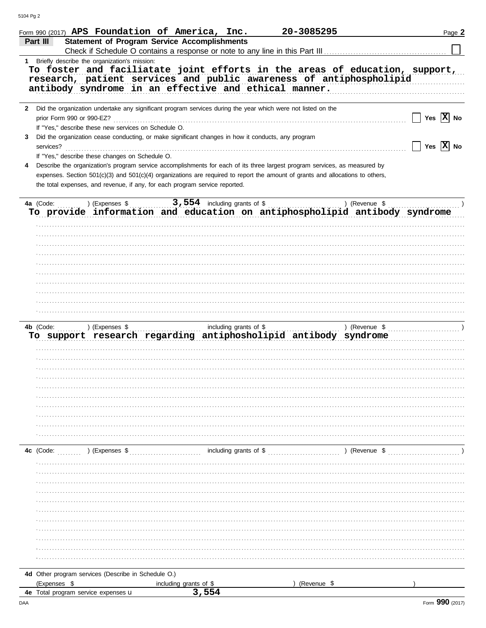|   |                                                     |                                                      | Form 990 (2017) APS Foundation of America, Inc.                                                                                                                                                                                                                                                                                             | 20-3085295 |                                                                                                                                                    | Page 2                                           |
|---|-----------------------------------------------------|------------------------------------------------------|---------------------------------------------------------------------------------------------------------------------------------------------------------------------------------------------------------------------------------------------------------------------------------------------------------------------------------------------|------------|----------------------------------------------------------------------------------------------------------------------------------------------------|--------------------------------------------------|
|   | Part III                                            |                                                      | <b>Statement of Program Service Accomplishments</b>                                                                                                                                                                                                                                                                                         |            |                                                                                                                                                    |                                                  |
|   |                                                     |                                                      |                                                                                                                                                                                                                                                                                                                                             |            | Check if Schedule O contains a response or note to any line in this Part III [11] [11] [11] [11] [11] [11] [1                                      |                                                  |
|   |                                                     | 1 Briefly describe the organization's mission:       | antibody syndrome in an effective and ethical manner.                                                                                                                                                                                                                                                                                       |            | To foster and faciliatate joint efforts in the areas of education, support,<br>research, patient services and public awareness of antiphospholipid |                                                  |
|   |                                                     | If "Yes," describe these new services on Schedule O. | 2 Did the organization undertake any significant program services during the year which were not listed on the                                                                                                                                                                                                                              |            |                                                                                                                                                    | $\sqrt{ }$ Yes $\sqrt{ }$ No                     |
| 3 | services?                                           | If "Yes," describe these changes on Schedule O.      | Did the organization cease conducting, or make significant changes in how it conducts, any program                                                                                                                                                                                                                                          |            |                                                                                                                                                    | $\sqrt{\phantom{a}}$ Yes $\sqrt{\phantom{a}}$ No |
| 4 |                                                     |                                                      | Describe the organization's program service accomplishments for each of its three largest program services, as measured by<br>expenses. Section 501(c)(3) and 501(c)(4) organizations are required to report the amount of grants and allocations to others,<br>the total expenses, and revenue, if any, for each program service reported. |            |                                                                                                                                                    |                                                  |
|   |                                                     |                                                      |                                                                                                                                                                                                                                                                                                                                             |            | ) (Revenue \$                                                                                                                                      |                                                  |
|   |                                                     |                                                      |                                                                                                                                                                                                                                                                                                                                             |            | To provide information and education on antiphospholipid antibody syndrome                                                                         |                                                  |
|   |                                                     |                                                      |                                                                                                                                                                                                                                                                                                                                             |            |                                                                                                                                                    |                                                  |
|   |                                                     |                                                      |                                                                                                                                                                                                                                                                                                                                             |            |                                                                                                                                                    |                                                  |
|   |                                                     |                                                      |                                                                                                                                                                                                                                                                                                                                             |            |                                                                                                                                                    |                                                  |
|   |                                                     |                                                      |                                                                                                                                                                                                                                                                                                                                             |            |                                                                                                                                                    |                                                  |
|   |                                                     |                                                      |                                                                                                                                                                                                                                                                                                                                             |            |                                                                                                                                                    |                                                  |
|   |                                                     |                                                      |                                                                                                                                                                                                                                                                                                                                             |            |                                                                                                                                                    |                                                  |
|   | 4b (Code: ) (Expenses \$                            |                                                      |                                                                                                                                                                                                                                                                                                                                             |            |                                                                                                                                                    |                                                  |
|   |                                                     |                                                      | To support research regarding antiphosholipid antibody syndrome                                                                                                                                                                                                                                                                             |            |                                                                                                                                                    |                                                  |
|   |                                                     |                                                      |                                                                                                                                                                                                                                                                                                                                             |            |                                                                                                                                                    |                                                  |
|   |                                                     |                                                      |                                                                                                                                                                                                                                                                                                                                             |            |                                                                                                                                                    |                                                  |
|   |                                                     |                                                      |                                                                                                                                                                                                                                                                                                                                             |            |                                                                                                                                                    |                                                  |
|   |                                                     |                                                      |                                                                                                                                                                                                                                                                                                                                             |            |                                                                                                                                                    |                                                  |
|   |                                                     |                                                      |                                                                                                                                                                                                                                                                                                                                             |            |                                                                                                                                                    |                                                  |
|   |                                                     |                                                      |                                                                                                                                                                                                                                                                                                                                             |            |                                                                                                                                                    |                                                  |
|   |                                                     |                                                      |                                                                                                                                                                                                                                                                                                                                             |            |                                                                                                                                                    |                                                  |
|   | 4c (Code:                                           | ) (Expenses \$                                       | including grants of \$                                                                                                                                                                                                                                                                                                                      |            | ) (Revenue \$                                                                                                                                      |                                                  |
|   |                                                     |                                                      |                                                                                                                                                                                                                                                                                                                                             |            |                                                                                                                                                    |                                                  |
|   |                                                     |                                                      |                                                                                                                                                                                                                                                                                                                                             |            |                                                                                                                                                    |                                                  |
|   |                                                     |                                                      |                                                                                                                                                                                                                                                                                                                                             |            |                                                                                                                                                    |                                                  |
|   |                                                     |                                                      |                                                                                                                                                                                                                                                                                                                                             |            |                                                                                                                                                    |                                                  |
|   |                                                     |                                                      |                                                                                                                                                                                                                                                                                                                                             |            |                                                                                                                                                    |                                                  |
|   |                                                     |                                                      |                                                                                                                                                                                                                                                                                                                                             |            |                                                                                                                                                    |                                                  |
|   |                                                     |                                                      |                                                                                                                                                                                                                                                                                                                                             |            |                                                                                                                                                    |                                                  |
|   |                                                     |                                                      |                                                                                                                                                                                                                                                                                                                                             |            |                                                                                                                                                    |                                                  |
|   |                                                     |                                                      |                                                                                                                                                                                                                                                                                                                                             |            |                                                                                                                                                    |                                                  |
|   |                                                     | 4d Other program services (Describe in Schedule O.)  |                                                                                                                                                                                                                                                                                                                                             |            |                                                                                                                                                    |                                                  |
|   | (Expenses \$<br>4e Total program service expenses u |                                                      | including grants of \$<br>554<br>₹                                                                                                                                                                                                                                                                                                          |            | (Revenue \$                                                                                                                                        |                                                  |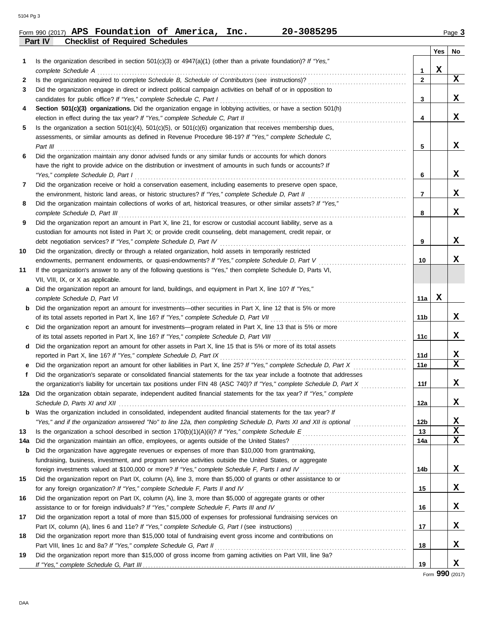**Part IV Checklist of Required Schedules**

|     |                                                                                                                         |                 | Yes | No |
|-----|-------------------------------------------------------------------------------------------------------------------------|-----------------|-----|----|
| 1   | Is the organization described in section $501(c)(3)$ or $4947(a)(1)$ (other than a private foundation)? If "Yes,"       |                 |     |    |
|     | complete Schedule A                                                                                                     | 1               | X   |    |
| 2   |                                                                                                                         | $\mathbf{2}$    |     | x  |
| 3   | Did the organization engage in direct or indirect political campaign activities on behalf of or in opposition to        |                 |     |    |
|     | candidates for public office? If "Yes," complete Schedule C, Part I                                                     | 3               |     | X. |
| 4   | Section 501(c)(3) organizations. Did the organization engage in lobbying activities, or have a section 501(h)           |                 |     |    |
|     | election in effect during the tax year? If "Yes," complete Schedule C, Part II                                          | 4               |     | X. |
| 5   | Is the organization a section $501(c)(4)$ , $501(c)(5)$ , or $501(c)(6)$ organization that receives membership dues,    |                 |     |    |
|     | assessments, or similar amounts as defined in Revenue Procedure 98-19? If "Yes," complete Schedule C,                   |                 |     |    |
|     | Part III $\ldots$                                                                                                       | 5               |     | x  |
| 6   | Did the organization maintain any donor advised funds or any similar funds or accounts for which donors                 |                 |     |    |
|     | have the right to provide advice on the distribution or investment of amounts in such funds or accounts? If             |                 |     |    |
|     | "Yes," complete Schedule D, Part I                                                                                      | 6               |     | x  |
| 7   | Did the organization receive or hold a conservation easement, including easements to preserve open space,               |                 |     |    |
|     | the environment, historic land areas, or historic structures? If "Yes," complete Schedule D, Part II                    | 7               |     | x  |
| 8   | Did the organization maintain collections of works of art, historical treasures, or other similar assets? If "Yes,"     |                 |     |    |
|     | complete Schedule D, Part III                                                                                           | 8               |     | x  |
| 9   | Did the organization report an amount in Part X, line 21, for escrow or custodial account liability, serve as a         |                 |     |    |
|     | custodian for amounts not listed in Part X; or provide credit counseling, debt management, credit repair, or            |                 |     |    |
|     | debt negotiation services? If "Yes," complete Schedule D, Part IV                                                       | 9               |     | X. |
| 10  | Did the organization, directly or through a related organization, hold assets in temporarily restricted                 |                 |     |    |
|     | endowments, permanent endowments, or quasi-endowments? If "Yes," complete Schedule D, Part V                            | 10              |     | x  |
| 11  | If the organization's answer to any of the following questions is "Yes," then complete Schedule D, Parts VI,            |                 |     |    |
|     | VII, VIII, IX, or X as applicable.                                                                                      |                 |     |    |
| a   | Did the organization report an amount for land, buildings, and equipment in Part X, line 10? If "Yes,"                  |                 |     |    |
|     | complete Schedule D, Part VI                                                                                            | 11a             | х   |    |
| b   | Did the organization report an amount for investments—other securities in Part X, line 12 that is 5% or more            |                 |     |    |
|     |                                                                                                                         | 11 <sub>b</sub> |     | x  |
| c   | Did the organization report an amount for investments—program related in Part X, line 13 that is 5% or more             |                 |     |    |
|     |                                                                                                                         | 11c             |     | x  |
| d   | Did the organization report an amount for other assets in Part X, line 15 that is 5% or more of its total assets        |                 |     |    |
|     | reported in Part X, line 16? If "Yes," complete Schedule D, Part IX                                                     | 11d             |     | x  |
| е   | Did the organization report an amount for other liabilities in Part X, line 25? If "Yes," complete Schedule D, Part X   | 11e             |     | X  |
| f   | Did the organization's separate or consolidated financial statements for the tax year include a footnote that addresses |                 |     |    |
|     | the organization's liability for uncertain tax positions under FIN 48 (ASC 740)? If "Yes," complete Schedule D, Part X  | 11f             |     | x  |
| 12a | Did the organization obtain separate, independent audited financial statements for the tax year? If "Yes," complete     |                 |     |    |
|     | Schedule D. Parts XI and XII                                                                                            | 12a             |     | х  |
|     | <b>b</b> Was the organization included in consolidated, independent audited financial statements for the tax year? If   |                 |     |    |
|     |                                                                                                                         | 12b             |     | X  |
| 13  |                                                                                                                         | 13              |     | X  |
| 14a |                                                                                                                         | 14a             |     | X  |
| b   | Did the organization have aggregate revenues or expenses of more than \$10,000 from grantmaking,                        |                 |     |    |
|     | fundraising, business, investment, and program service activities outside the United States, or aggregate               |                 |     |    |
|     |                                                                                                                         | 14b             |     | X. |
| 15  | Did the organization report on Part IX, column (A), line 3, more than \$5,000 of grants or other assistance to or       |                 |     |    |
|     |                                                                                                                         | 15              |     | X  |
| 16  | Did the organization report on Part IX, column (A), line 3, more than \$5,000 of aggregate grants or other              |                 |     |    |
|     |                                                                                                                         | 16              |     | X  |
| 17  | Did the organization report a total of more than \$15,000 of expenses for professional fundraising services on          |                 |     |    |
|     |                                                                                                                         | 17              |     | X  |
| 18  | Did the organization report more than \$15,000 total of fundraising event gross income and contributions on             |                 |     |    |
|     |                                                                                                                         | 18              |     | X  |
| 19  | Did the organization report more than \$15,000 of gross income from gaming activities on Part VIII, line 9a?            |                 |     |    |
|     |                                                                                                                         | 19              |     | x  |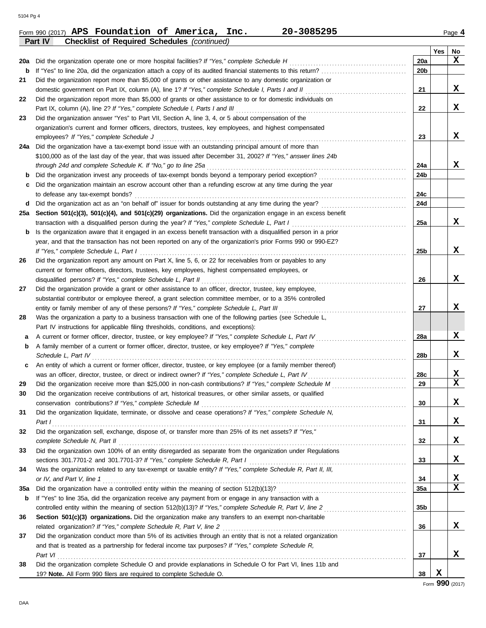DAA

|     | <b>Checklist of Required Schedules (continued)</b><br>Part IV                                                    |                 | Yes | No |
|-----|------------------------------------------------------------------------------------------------------------------|-----------------|-----|----|
| 20a | Did the organization operate one or more hospital facilities? If "Yes," complete Schedule H                      | 20a             |     | X  |
| b   |                                                                                                                  | 20b             |     |    |
| 21  | Did the organization report more than \$5,000 of grants or other assistance to any domestic organization or      |                 |     |    |
|     |                                                                                                                  | 21              |     | X  |
| 22  | Did the organization report more than \$5,000 of grants or other assistance to or for domestic individuals on    |                 |     |    |
|     | Part IX, column (A), line 2? If "Yes," complete Schedule I, Parts I and III                                      | 22              |     | X  |
| 23  | Did the organization answer "Yes" to Part VII, Section A, line 3, 4, or 5 about compensation of the              |                 |     |    |
|     | organization's current and former officers, directors, trustees, key employees, and highest compensated          |                 |     |    |
|     | employees? If "Yes," complete Schedule J                                                                         | 23              |     | x  |
| 24a | Did the organization have a tax-exempt bond issue with an outstanding principal amount of more than              |                 |     |    |
|     | \$100,000 as of the last day of the year, that was issued after December 31, 2002? If "Yes," answer lines 24b    |                 |     |    |
|     | through 24d and complete Schedule K. If "No," go to line 25a                                                     | 24a             |     | X  |
| b   |                                                                                                                  | 24b             |     |    |
| c   | Did the organization maintain an escrow account other than a refunding escrow at any time during the year        |                 |     |    |
|     | to defease any tax-exempt bonds?                                                                                 | 24c             |     |    |
| d   | Did the organization act as an "on behalf of" issuer for bonds outstanding at any time during the year?          | 24d             |     |    |
| 25a | Section 501(c)(3), 501(c)(4), and 501(c)(29) organizations. Did the organization engage in an excess benefit     |                 |     |    |
|     | transaction with a disqualified person during the year? If "Yes," complete Schedule L, Part I                    | 25a             |     | x  |
| b   | Is the organization aware that it engaged in an excess benefit transaction with a disqualified person in a prior |                 |     |    |
|     | year, and that the transaction has not been reported on any of the organization's prior Forms 990 or 990-EZ?     |                 |     |    |
|     | If "Yes," complete Schedule L, Part I                                                                            | 25 <sub>b</sub> |     | x  |
| 26  | Did the organization report any amount on Part X, line 5, 6, or 22 for receivables from or payables to any       |                 |     |    |
|     | current or former officers, directors, trustees, key employees, highest compensated employees, or                |                 |     |    |
|     | disqualified persons? If "Yes," complete Schedule L, Part II                                                     | 26              |     | x  |
| 27  | Did the organization provide a grant or other assistance to an officer, director, trustee, key employee,         |                 |     |    |
|     | substantial contributor or employee thereof, a grant selection committee member, or to a 35% controlled          |                 |     |    |
|     | entity or family member of any of these persons? If "Yes," complete Schedule L, Part III                         | 27              |     | x  |
| 28  | Was the organization a party to a business transaction with one of the following parties (see Schedule L,        |                 |     |    |
|     | Part IV instructions for applicable filing thresholds, conditions, and exceptions):                              |                 |     |    |
| а   | A current or former officer, director, trustee, or key employee? If "Yes," complete Schedule L, Part IV          | 28a             |     | X  |
| b   | A family member of a current or former officer, director, trustee, or key employee? If "Yes," complete           |                 |     |    |
|     | Schedule L, Part IV                                                                                              | 28b             |     | X  |
| c   | An entity of which a current or former officer, director, trustee, or key employee (or a family member thereof)  |                 |     |    |
|     | was an officer, director, trustee, or direct or indirect owner? If "Yes," complete Schedule L, Part IV           | 28c             |     | X  |
| 29  |                                                                                                                  | 29              |     | X  |
| 30  | Did the organization receive contributions of art, historical treasures, or other similar assets, or qualified   |                 |     |    |
|     |                                                                                                                  | 30              |     | X  |
| 31  | Did the organization liquidate, terminate, or dissolve and cease operations? If "Yes," complete Schedule N,      |                 |     |    |
|     | Part $I$                                                                                                         | 31              |     | X  |
| 32  | Did the organization sell, exchange, dispose of, or transfer more than 25% of its net assets? If "Yes,"          |                 |     |    |
|     | complete Schedule N, Part II                                                                                     | 32              |     | X  |
| 33  | Did the organization own 100% of an entity disregarded as separate from the organization under Regulations       |                 |     |    |
|     |                                                                                                                  | 33              |     | X  |
| 34  | Was the organization related to any tax-exempt or taxable entity? If "Yes," complete Schedule R, Part II, III,   |                 |     |    |
|     |                                                                                                                  | 34              |     | X  |
| 35a |                                                                                                                  | 35а             |     | X  |
| b   | If "Yes" to line 35a, did the organization receive any payment from or engage in any transaction with a          |                 |     |    |
|     | controlled entity within the meaning of section 512(b)(13)? If "Yes," complete Schedule R, Part V, line 2        | 35 <sub>b</sub> |     |    |
| 36  | Section 501(c)(3) organizations. Did the organization make any transfers to an exempt non-charitable             |                 |     |    |
|     |                                                                                                                  | 36              |     | x  |
| 37  | Did the organization conduct more than 5% of its activities through an entity that is not a related organization |                 |     |    |
|     | and that is treated as a partnership for federal income tax purposes? If "Yes," complete Schedule R,             |                 |     |    |
|     | Part VI                                                                                                          | 37              |     | X  |
| 38  | Did the organization complete Schedule O and provide explanations in Schedule O for Part VI, lines 11b and       |                 |     |    |
|     | 19? Note. All Form 990 filers are required to complete Schedule O.                                               | 38              | x   |    |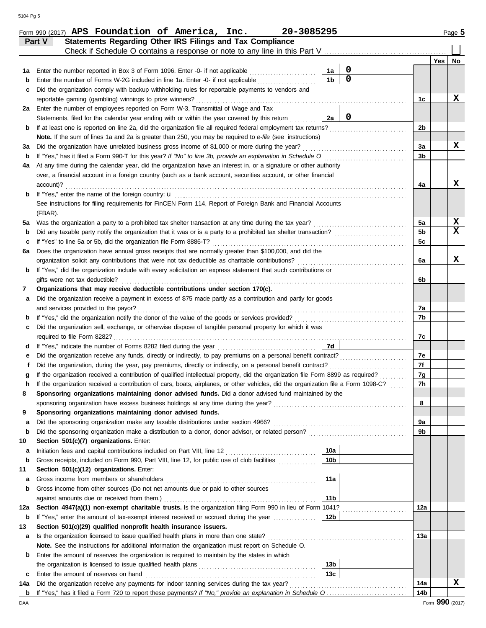|         | Part V                                                                                                       | <b>Statements Regarding Other IRS Filings and Tax Compliance</b><br>Check if Schedule O contains a response or note to any line in this Part V.           |                 |                |                |     |                               |  |  |  |
|---------|--------------------------------------------------------------------------------------------------------------|-----------------------------------------------------------------------------------------------------------------------------------------------------------|-----------------|----------------|----------------|-----|-------------------------------|--|--|--|
|         |                                                                                                              |                                                                                                                                                           |                 |                |                | Yes | No                            |  |  |  |
| 1а      |                                                                                                              | Enter the number reported in Box 3 of Form 1096. Enter -0- if not applicable                                                                              | 1a              | $\mathbf 0$    |                |     |                               |  |  |  |
| b       |                                                                                                              | Enter the number of Forms W-2G included in line 1a. Enter -0- if not applicable <i>minimizor</i>                                                          | 1 <sub>b</sub>  | $\overline{0}$ |                |     |                               |  |  |  |
| c       |                                                                                                              | Did the organization comply with backup withholding rules for reportable payments to vendors and                                                          |                 |                |                |     |                               |  |  |  |
|         |                                                                                                              | reportable gaming (gambling) winnings to prize winners?                                                                                                   |                 |                | 1c             |     | х                             |  |  |  |
| 2a      |                                                                                                              | Enter the number of employees reported on Form W-3, Transmittal of Wage and Tax                                                                           |                 |                |                |     |                               |  |  |  |
|         |                                                                                                              | Statements, filed for the calendar year ending with or within the year covered by this return                                                             | 2a              | $\mathbf 0$    |                |     |                               |  |  |  |
| b       |                                                                                                              | If at least one is reported on line 2a, did the organization file all required federal employment tax returns?                                            |                 |                | 2b             |     |                               |  |  |  |
|         |                                                                                                              | Note. If the sum of lines 1a and 2a is greater than 250, you may be required to e-file (see instructions)                                                 |                 |                |                |     |                               |  |  |  |
| за      |                                                                                                              | Did the organization have unrelated business gross income of \$1,000 or more during the year?                                                             |                 |                | 3a             |     | x                             |  |  |  |
| b       |                                                                                                              |                                                                                                                                                           |                 |                | 3b             |     |                               |  |  |  |
| 4a      |                                                                                                              | At any time during the calendar year, did the organization have an interest in, or a signature or other authority                                         |                 |                |                |     |                               |  |  |  |
|         | account)?                                                                                                    | over, a financial account in a foreign country (such as a bank account, securities account, or other financial                                            |                 |                | 4a             |     | х                             |  |  |  |
| b       |                                                                                                              |                                                                                                                                                           |                 |                |                |     |                               |  |  |  |
|         |                                                                                                              | See instructions for filing requirements for FinCEN Form 114, Report of Foreign Bank and Financial Accounts                                               |                 |                |                |     |                               |  |  |  |
|         | (FBAR).                                                                                                      |                                                                                                                                                           |                 |                |                |     |                               |  |  |  |
| 5a      |                                                                                                              | Was the organization a party to a prohibited tax shelter transaction at any time during the tax year?                                                     |                 |                | 5a             |     |                               |  |  |  |
| b       |                                                                                                              |                                                                                                                                                           |                 |                | 5 <sub>b</sub> |     | $rac{\mathbf{X}}{\mathbf{X}}$ |  |  |  |
| c       | If "Yes" to line 5a or 5b, did the organization file Form 8886-T?                                            |                                                                                                                                                           |                 |                |                |     |                               |  |  |  |
|         | Does the organization have annual gross receipts that are normally greater than \$100,000, and did the<br>6а |                                                                                                                                                           |                 |                |                |     |                               |  |  |  |
|         | organization solicit any contributions that were not tax deductible as charitable contributions?             |                                                                                                                                                           |                 |                |                |     |                               |  |  |  |
| b       |                                                                                                              | If "Yes," did the organization include with every solicitation an express statement that such contributions or                                            |                 |                | 6а             |     | X                             |  |  |  |
|         |                                                                                                              | gifts were not tax deductible?                                                                                                                            |                 |                | 6b             |     |                               |  |  |  |
| 7       |                                                                                                              | Organizations that may receive deductible contributions under section 170(c).                                                                             |                 |                |                |     |                               |  |  |  |
| а       |                                                                                                              | Did the organization receive a payment in excess of \$75 made partly as a contribution and partly for goods                                               |                 |                |                |     |                               |  |  |  |
|         |                                                                                                              | and services provided to the payor?                                                                                                                       |                 |                | 7а             |     |                               |  |  |  |
| b       |                                                                                                              |                                                                                                                                                           |                 |                | 7b             |     |                               |  |  |  |
| с       |                                                                                                              | Did the organization sell, exchange, or otherwise dispose of tangible personal property for which it was                                                  |                 |                |                |     |                               |  |  |  |
|         |                                                                                                              |                                                                                                                                                           |                 |                | 7с             |     |                               |  |  |  |
| d       |                                                                                                              |                                                                                                                                                           | 7d              |                |                |     |                               |  |  |  |
| е       |                                                                                                              |                                                                                                                                                           |                 |                | 7e             |     |                               |  |  |  |
|         |                                                                                                              | Did the organization, during the year, pay premiums, directly or indirectly, on a personal benefit contract?                                              |                 |                | 7f             |     |                               |  |  |  |
| g       |                                                                                                              | If the organization received a contribution of qualified intellectual property, did the organization file Form 8899 as required?                          |                 |                | 7g             |     |                               |  |  |  |
| h       |                                                                                                              | If the organization received a contribution of cars, boats, airplanes, or other vehicles, did the organization file a Form 1098-C?                        |                 |                | 7h             |     |                               |  |  |  |
|         |                                                                                                              | Sponsoring organizations maintaining donor advised funds. Did a donor advised fund maintained by the                                                      |                 |                |                |     |                               |  |  |  |
|         |                                                                                                              |                                                                                                                                                           |                 |                | 8              |     |                               |  |  |  |
| 9       |                                                                                                              | Sponsoring organizations maintaining donor advised funds.                                                                                                 |                 |                |                |     |                               |  |  |  |
| а       |                                                                                                              |                                                                                                                                                           |                 |                | 9а             |     |                               |  |  |  |
| b       |                                                                                                              |                                                                                                                                                           |                 |                | 9b             |     |                               |  |  |  |
| 10      |                                                                                                              | Section 501(c)(7) organizations. Enter:                                                                                                                   |                 |                |                |     |                               |  |  |  |
| а       |                                                                                                              |                                                                                                                                                           | 10a             |                |                |     |                               |  |  |  |
| b       |                                                                                                              | Gross receipts, included on Form 990, Part VIII, line 12, for public use of club facilities                                                               | 10 <sub>b</sub> |                |                |     |                               |  |  |  |
| 11      |                                                                                                              | Section 501(c)(12) organizations. Enter:                                                                                                                  |                 |                |                |     |                               |  |  |  |
| а       |                                                                                                              | Gross income from members or shareholders                                                                                                                 | 11a             |                |                |     |                               |  |  |  |
| b       |                                                                                                              | Gross income from other sources (Do not net amounts due or paid to other sources                                                                          |                 |                |                |     |                               |  |  |  |
|         |                                                                                                              | Section 4947(a)(1) non-exempt charitable trusts. Is the organization filing Form 990 in lieu of Form 1041?                                                | 11 <sub>b</sub> |                |                |     |                               |  |  |  |
| 12a     |                                                                                                              |                                                                                                                                                           | 12 <sub>b</sub> |                | 12a            |     |                               |  |  |  |
| b<br>13 |                                                                                                              | If "Yes," enter the amount of tax-exempt interest received or accrued during the year<br>Section 501(c)(29) qualified nonprofit health insurance issuers. |                 |                |                |     |                               |  |  |  |
|         |                                                                                                              | Is the organization licensed to issue qualified health plans in more than one state?                                                                      |                 |                | 13а            |     |                               |  |  |  |
| а       |                                                                                                              | Note. See the instructions for additional information the organization must report on Schedule O.                                                         |                 |                |                |     |                               |  |  |  |
| b       |                                                                                                              | Enter the amount of reserves the organization is required to maintain by the states in which                                                              |                 |                |                |     |                               |  |  |  |
|         |                                                                                                              |                                                                                                                                                           | 13 <sub>b</sub> |                |                |     |                               |  |  |  |
| с       |                                                                                                              | Enter the amount of reserves on hand                                                                                                                      | 13c             |                |                |     |                               |  |  |  |
| 14a     |                                                                                                              |                                                                                                                                                           |                 |                | 14a            |     | х                             |  |  |  |
|         |                                                                                                              |                                                                                                                                                           |                 |                |                |     |                               |  |  |  |

**b 14b** If "Yes," has it filed a Form 720 to report these payments? *If "No," provide an explanation in Schedule O* . . . . . . . . . . . . . . . . . . . . . . . . . . . . . .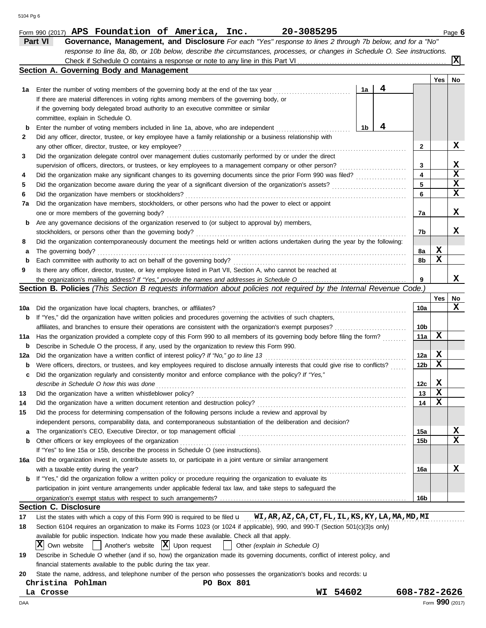|     | response to line 8a, 8b, or 10b below, describe the circumstances, processes, or changes in Schedule O. See instructions.                                                                                                               |              |                 |             |  |  |  |  |  |  |  |
|-----|-----------------------------------------------------------------------------------------------------------------------------------------------------------------------------------------------------------------------------------------|--------------|-----------------|-------------|--|--|--|--|--|--|--|
|     |                                                                                                                                                                                                                                         |              |                 | X           |  |  |  |  |  |  |  |
|     | Section A. Governing Body and Management                                                                                                                                                                                                |              |                 |             |  |  |  |  |  |  |  |
|     |                                                                                                                                                                                                                                         |              | Yes             | No          |  |  |  |  |  |  |  |
| 1а  | 4<br>1a<br>Enter the number of voting members of the governing body at the end of the tax year                                                                                                                                          |              |                 |             |  |  |  |  |  |  |  |
|     | If there are material differences in voting rights among members of the governing body, or                                                                                                                                              |              |                 |             |  |  |  |  |  |  |  |
|     | if the governing body delegated broad authority to an executive committee or similar                                                                                                                                                    |              |                 |             |  |  |  |  |  |  |  |
|     | committee, explain in Schedule O.                                                                                                                                                                                                       |              |                 |             |  |  |  |  |  |  |  |
| b   | 4<br>1b<br>Enter the number of voting members included in line 1a, above, who are independent                                                                                                                                           |              |                 |             |  |  |  |  |  |  |  |
| 2   | Did any officer, director, trustee, or key employee have a family relationship or a business relationship with                                                                                                                          |              |                 |             |  |  |  |  |  |  |  |
|     | any other officer, director, trustee, or key employee?                                                                                                                                                                                  | 2            |                 | X           |  |  |  |  |  |  |  |
| З   | Did the organization delegate control over management duties customarily performed by or under the direct                                                                                                                               |              |                 |             |  |  |  |  |  |  |  |
|     | supervision of officers, directors, or trustees, or key employees to a management company or other person?<br><u> 1999 - Johann Stoff, martin Stoff, martin Stoff, martin Stoff, martin Stoff, martin Stoff, martin Stoff, martin S</u> | 3            |                 | X           |  |  |  |  |  |  |  |
| 4   | Did the organization make any significant changes to its governing documents since the prior Form 990 was filed?                                                                                                                        | 4            |                 | $\mathbf x$ |  |  |  |  |  |  |  |
| 5   | Did the organization become aware during the year of a significant diversion of the organization's assets?                                                                                                                              | 5            |                 | $\mathbf x$ |  |  |  |  |  |  |  |
| 6   | Did the organization have members or stockholders?                                                                                                                                                                                      | 6            |                 | X           |  |  |  |  |  |  |  |
| 7a  | Did the organization have members, stockholders, or other persons who had the power to elect or appoint                                                                                                                                 |              |                 |             |  |  |  |  |  |  |  |
|     | one or more members of the governing body?                                                                                                                                                                                              | 7a           |                 | X           |  |  |  |  |  |  |  |
| b   | Are any governance decisions of the organization reserved to (or subject to approval by) members,                                                                                                                                       |              |                 |             |  |  |  |  |  |  |  |
|     | stockholders, or persons other than the governing body?                                                                                                                                                                                 | 7b           |                 | x           |  |  |  |  |  |  |  |
| 8   | Did the organization contemporaneously document the meetings held or written actions undertaken during the year by the following:                                                                                                       |              |                 |             |  |  |  |  |  |  |  |
| а   | The governing body?                                                                                                                                                                                                                     | 8a           | X               |             |  |  |  |  |  |  |  |
| b   | Each committee with authority to act on behalf of the governing body?                                                                                                                                                                   | 8b           | X               |             |  |  |  |  |  |  |  |
| 9   | Is there any officer, director, trustee, or key employee listed in Part VII, Section A, who cannot be reached at                                                                                                                        |              |                 |             |  |  |  |  |  |  |  |
|     |                                                                                                                                                                                                                                         | 9            |                 | x           |  |  |  |  |  |  |  |
|     | Section B. Policies (This Section B requests information about policies not required by the Internal Revenue Code.)                                                                                                                     |              |                 |             |  |  |  |  |  |  |  |
|     |                                                                                                                                                                                                                                         |              | Yes             | No          |  |  |  |  |  |  |  |
| 10a | Did the organization have local chapters, branches, or affiliates?                                                                                                                                                                      | 10a          |                 | x           |  |  |  |  |  |  |  |
| b   | If "Yes," did the organization have written policies and procedures governing the activities of such chapters,                                                                                                                          |              |                 |             |  |  |  |  |  |  |  |
|     |                                                                                                                                                                                                                                         | 10b          |                 |             |  |  |  |  |  |  |  |
| 11a | Has the organization provided a complete copy of this Form 990 to all members of its governing body before filing the form?                                                                                                             |              |                 |             |  |  |  |  |  |  |  |
|     | Describe in Schedule O the process, if any, used by the organization to review this Form 990.<br>b                                                                                                                                      |              |                 |             |  |  |  |  |  |  |  |
| 12a | Did the organization have a written conflict of interest policy? If "No," go to line 13                                                                                                                                                 |              |                 |             |  |  |  |  |  |  |  |
| b   | Were officers, directors, or trustees, and key employees required to disclose annually interests that could give rise to conflicts?                                                                                                     |              |                 |             |  |  |  |  |  |  |  |
| c   | Did the organization regularly and consistently monitor and enforce compliance with the policy? If "Yes,"                                                                                                                               | 12b          | х               |             |  |  |  |  |  |  |  |
|     | describe in Schedule O how this was done                                                                                                                                                                                                | 12с          | X               |             |  |  |  |  |  |  |  |
| 13  |                                                                                                                                                                                                                                         | 13           | X               |             |  |  |  |  |  |  |  |
|     | Did the organization have a written document retention and destruction policy?                                                                                                                                                          | 14           | X               |             |  |  |  |  |  |  |  |
| 15  | Did the process for determining compensation of the following persons include a review and approval by                                                                                                                                  |              |                 |             |  |  |  |  |  |  |  |
|     | independent persons, comparability data, and contemporaneous substantiation of the deliberation and decision?                                                                                                                           |              |                 |             |  |  |  |  |  |  |  |
| a   |                                                                                                                                                                                                                                         | 15a          |                 | X           |  |  |  |  |  |  |  |
| b   | Other officers or key employees of the organization                                                                                                                                                                                     | 15b          |                 | X           |  |  |  |  |  |  |  |
|     | If "Yes" to line 15a or 15b, describe the process in Schedule O (see instructions).                                                                                                                                                     |              |                 |             |  |  |  |  |  |  |  |
| 16a | Did the organization invest in, contribute assets to, or participate in a joint venture or similar arrangement                                                                                                                          |              |                 |             |  |  |  |  |  |  |  |
|     | with a taxable entity during the year?                                                                                                                                                                                                  | 16a          |                 | X           |  |  |  |  |  |  |  |
| b   | If "Yes," did the organization follow a written policy or procedure requiring the organization to evaluate its                                                                                                                          |              |                 |             |  |  |  |  |  |  |  |
|     | participation in joint venture arrangements under applicable federal tax law, and take steps to safeguard the                                                                                                                           |              |                 |             |  |  |  |  |  |  |  |
|     |                                                                                                                                                                                                                                         | 16b          |                 |             |  |  |  |  |  |  |  |
|     | <b>Section C. Disclosure</b>                                                                                                                                                                                                            |              |                 |             |  |  |  |  |  |  |  |
| 17  | List the states with which a copy of this Form 990 is required to be filed <b>u</b> WI, AR, AZ, CA, CT, FL, IL, KS, KY, LA, MA, MD, MI                                                                                                  |              |                 |             |  |  |  |  |  |  |  |
| 18  | Section 6104 requires an organization to make its Forms 1023 (or 1024 if applicable), 990, and 990-T (Section 501(c)(3)s only)                                                                                                          |              |                 |             |  |  |  |  |  |  |  |
|     | available for public inspection. Indicate how you made these available. Check all that apply.                                                                                                                                           |              |                 |             |  |  |  |  |  |  |  |
|     | Another's website $ \mathbf{X} $ Upon request<br>IХ<br>Own website<br>Other (explain in Schedule O)<br>$\perp$                                                                                                                          |              |                 |             |  |  |  |  |  |  |  |
| 19  | Describe in Schedule O whether (and if so, how) the organization made its governing documents, conflict of interest policy, and                                                                                                         |              |                 |             |  |  |  |  |  |  |  |
|     | financial statements available to the public during the tax year.                                                                                                                                                                       |              |                 |             |  |  |  |  |  |  |  |
| 20  | State the name, address, and telephone number of the person who possesses the organization's books and records: u                                                                                                                       |              |                 |             |  |  |  |  |  |  |  |
|     | Christina Pohlman<br><b>PO Box 801</b>                                                                                                                                                                                                  |              |                 |             |  |  |  |  |  |  |  |
|     | WI 54602<br>La Crosse                                                                                                                                                                                                                   | 608-782-2626 |                 |             |  |  |  |  |  |  |  |
| DAA |                                                                                                                                                                                                                                         |              | Form 990 (2017) |             |  |  |  |  |  |  |  |
|     |                                                                                                                                                                                                                                         |              |                 |             |  |  |  |  |  |  |  |

Form 990 (2017) **APS Foundation of America, Inc. 20-3085295** Page **6** Page **6 Part VI Governance, Management, and Disclosure** *For each "Yes" response to lines 2 through 7b below, and for a "No"*

**APS Foundation of America, Inc. 20-3085295**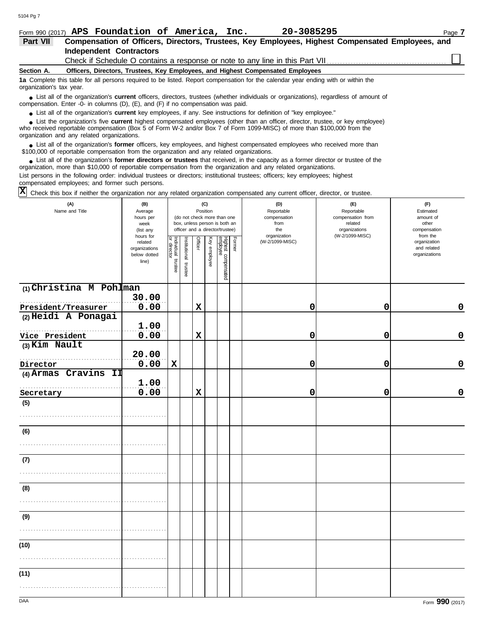| Form 990 (2017) APS Foundation of America, Inc.<br>20-3085295<br>Page 7                                                                                                                                                                                                                                    |                      |                                                                                                  |                                 |                              |                                              |  |  |  |  |  |
|------------------------------------------------------------------------------------------------------------------------------------------------------------------------------------------------------------------------------------------------------------------------------------------------------------|----------------------|--------------------------------------------------------------------------------------------------|---------------------------------|------------------------------|----------------------------------------------|--|--|--|--|--|
| Part VII                                                                                                                                                                                                                                                                                                   |                      | Compensation of Officers, Directors, Trustees, Key Employees, Highest Compensated Employees, and |                                 |                              |                                              |  |  |  |  |  |
| <b>Independent Contractors</b>                                                                                                                                                                                                                                                                             |                      |                                                                                                  |                                 |                              |                                              |  |  |  |  |  |
| Check if Schedule O contains a response or note to any line in this Part VII                                                                                                                                                                                                                               |                      |                                                                                                  |                                 |                              |                                              |  |  |  |  |  |
| Section A.<br>Officers, Directors, Trustees, Key Employees, and Highest Compensated Employees                                                                                                                                                                                                              |                      |                                                                                                  |                                 |                              |                                              |  |  |  |  |  |
| 1a Complete this table for all persons required to be listed. Report compensation for the calendar year ending with or within the<br>organization's tax year.                                                                                                                                              |                      |                                                                                                  |                                 |                              |                                              |  |  |  |  |  |
| • List all of the organization's <b>current</b> officers, directors, trustees (whether individuals or organizations), regardless of amount of<br>compensation. Enter -0- in columns (D), (E), and (F) if no compensation was paid.                                                                         |                      |                                                                                                  |                                 |                              |                                              |  |  |  |  |  |
| • List all of the organization's <b>current</b> key employees, if any. See instructions for definition of "key employee."                                                                                                                                                                                  |                      |                                                                                                  |                                 |                              |                                              |  |  |  |  |  |
| • List the organization's five current highest compensated employees (other than an officer, director, trustee, or key employee)<br>who received reportable compensation (Box 5 of Form W-2 and/or Box 7 of Form 1099-MISC) of more than \$100,000 from the<br>organization and any related organizations. |                      |                                                                                                  |                                 |                              |                                              |  |  |  |  |  |
| • List all of the organization's former officers, key employees, and highest compensated employees who received more than<br>\$100,000 of reportable compensation from the organization and any related organizations.                                                                                     |                      |                                                                                                  |                                 |                              |                                              |  |  |  |  |  |
| • List all of the organization's former directors or trustees that received, in the capacity as a former director or trustee of the<br>organization, more than \$10,000 of reportable compensation from the organization and any related organizations.                                                    |                      |                                                                                                  |                                 |                              |                                              |  |  |  |  |  |
| List persons in the following order: individual trustees or directors; institutional trustees; officers; key employees; highest<br>compensated employees; and former such persons.                                                                                                                         |                      |                                                                                                  |                                 |                              |                                              |  |  |  |  |  |
| x <br>Check this box if neither the organization nor any related organization compensated any current officer, director, or trustee.                                                                                                                                                                       |                      |                                                                                                  |                                 |                              |                                              |  |  |  |  |  |
| (A)                                                                                                                                                                                                                                                                                                        | (B)                  | (C)                                                                                              | (D)                             | (E)                          | (F)                                          |  |  |  |  |  |
| Name and Title                                                                                                                                                                                                                                                                                             | Average              | Position                                                                                         | Reportable                      | Reportable                   | Estimated                                    |  |  |  |  |  |
|                                                                                                                                                                                                                                                                                                            | hours per            | (do not check more than one<br>box, unless person is both an                                     | compensation<br>from            | compensation from<br>related | amount of<br>other                           |  |  |  |  |  |
|                                                                                                                                                                                                                                                                                                            | week<br>(list any    | officer and a director/trustee)                                                                  | the                             | organizations                | compensation                                 |  |  |  |  |  |
|                                                                                                                                                                                                                                                                                                            | hours for<br>related | Institu<br>Indivi<br>Or dir<br><b>Higher</b><br>Form<br>Office<br>Key                            | organization<br>(W-2/1099-MISC) | (W-2/1099-MISC)              | from the<br>organization<br>المحفحاجة المحجر |  |  |  |  |  |

|                           | <b>WCCV</b><br>(list any                                       |                                   | DON, UNIGOO POISON IS DON'T GIT<br>officer and a director/trustee) |             | ,,,,,,<br>the | <b>ICIGICU</b><br>organizations           | <b>UUIUI</b><br>compensation |                                 |                 |                                                          |
|---------------------------|----------------------------------------------------------------|-----------------------------------|--------------------------------------------------------------------|-------------|---------------|-------------------------------------------|------------------------------|---------------------------------|-----------------|----------------------------------------------------------|
|                           | hours for<br>related<br>organizations<br>below dotted<br>line) | Individual trustee<br>or director | Institutional trustee                                              | Officer     | Key employee  | Former<br>Highest compensated<br>employee |                              | organization<br>(W-2/1099-MISC) | (W-2/1099-MISC) | from the<br>organization<br>and related<br>organizations |
| $(1)$ Christina M Pohlman |                                                                |                                   |                                                                    |             |               |                                           |                              |                                 |                 |                                                          |
|                           | 30.00                                                          |                                   |                                                                    |             |               |                                           |                              |                                 |                 |                                                          |
| President/Treasurer       | 0.00                                                           |                                   |                                                                    | $\mathbf x$ |               |                                           |                              | 0                               | 0               | $\mathbf 0$                                              |
| (2) Heidi A Ponagai       |                                                                |                                   |                                                                    |             |               |                                           |                              |                                 |                 |                                                          |
|                           | 1.00                                                           |                                   |                                                                    |             |               |                                           |                              |                                 |                 |                                                          |
| Vice President            | 0.00                                                           |                                   |                                                                    | $\mathbf x$ |               |                                           |                              | 0                               | 0               | $\mathbf 0$                                              |
| (3) Kim Nault             |                                                                |                                   |                                                                    |             |               |                                           |                              |                                 |                 |                                                          |
|                           | 20.00                                                          |                                   |                                                                    |             |               |                                           |                              |                                 |                 |                                                          |
| Director                  | 0.00                                                           | $\mathbf x$                       |                                                                    |             |               |                                           |                              | 0                               | 0               | $\pmb{0}$                                                |
| (4) Armas Cravins II      |                                                                |                                   |                                                                    |             |               |                                           |                              |                                 |                 |                                                          |
|                           | 1.00                                                           |                                   |                                                                    |             |               |                                           |                              |                                 |                 |                                                          |
| Secretary                 | 0.00                                                           |                                   |                                                                    | $\mathbf x$ |               |                                           |                              | 0                               | 0               | $\mathbf 0$                                              |
| (5)                       |                                                                |                                   |                                                                    |             |               |                                           |                              |                                 |                 |                                                          |
|                           |                                                                |                                   |                                                                    |             |               |                                           |                              |                                 |                 |                                                          |
| (6)                       |                                                                |                                   |                                                                    |             |               |                                           |                              |                                 |                 |                                                          |
|                           |                                                                |                                   |                                                                    |             |               |                                           |                              |                                 |                 |                                                          |
| (7)                       |                                                                |                                   |                                                                    |             |               |                                           |                              |                                 |                 |                                                          |
|                           |                                                                |                                   |                                                                    |             |               |                                           |                              |                                 |                 |                                                          |
| (8)                       |                                                                |                                   |                                                                    |             |               |                                           |                              |                                 |                 |                                                          |
|                           |                                                                |                                   |                                                                    |             |               |                                           |                              |                                 |                 |                                                          |
| (9)                       |                                                                |                                   |                                                                    |             |               |                                           |                              |                                 |                 |                                                          |
|                           |                                                                |                                   |                                                                    |             |               |                                           |                              |                                 |                 |                                                          |
| (10)                      |                                                                |                                   |                                                                    |             |               |                                           |                              |                                 |                 |                                                          |
|                           |                                                                |                                   |                                                                    |             |               |                                           |                              |                                 |                 |                                                          |
| (11)                      |                                                                |                                   |                                                                    |             |               |                                           |                              |                                 |                 |                                                          |
|                           |                                                                |                                   |                                                                    |             |               |                                           |                              |                                 |                 |                                                          |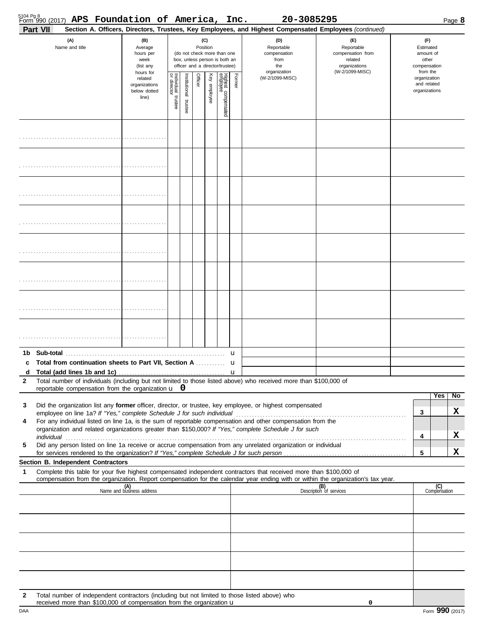|                   | 5104 Pg 8<br>Form 990 (2017) APS Foundation of America, Inc.                                                                                                                                                                                           |                                                               |                                   |                         |                                                                                                             |              |                                 |        | 20-3085295                                                                                             |                                                                                       |  |                                              |                                                             | Page 8 |
|-------------------|--------------------------------------------------------------------------------------------------------------------------------------------------------------------------------------------------------------------------------------------------------|---------------------------------------------------------------|-----------------------------------|-------------------------|-------------------------------------------------------------------------------------------------------------|--------------|---------------------------------|--------|--------------------------------------------------------------------------------------------------------|---------------------------------------------------------------------------------------|--|----------------------------------------------|-------------------------------------------------------------|--------|
|                   | Part VII                                                                                                                                                                                                                                               |                                                               |                                   |                         |                                                                                                             |              |                                 |        | Section A. Officers, Directors, Trustees, Key Employees, and Highest Compensated Employees (continued) |                                                                                       |  |                                              |                                                             |        |
|                   | (A)<br>Name and title                                                                                                                                                                                                                                  | (B)<br>Average<br>hours per<br>week<br>(list any<br>hours for |                                   |                         | Position<br>(do not check more than one<br>box, unless person is both an<br>officer and a director/trustee) | (C)          |                                 |        | (D)<br>Reportable<br>compensation<br>from<br>the<br>organization                                       | (E)<br>Reportable<br>compensation from<br>related<br>organizations<br>(W-2/1099-MISC) |  |                                              | Estimated<br>amount of<br>other<br>compensation<br>from the |        |
|                   |                                                                                                                                                                                                                                                        | related<br>organizations<br>below dotted<br>line)             | Individual trustee<br>or director | nstitutional<br>trustee | Officer                                                                                                     | Key employee | Highest compensated<br>employee | Former | (W-2/1099-MISC)                                                                                        |                                                                                       |  | organization<br>and related<br>organizations |                                                             |        |
|                   |                                                                                                                                                                                                                                                        |                                                               |                                   |                         |                                                                                                             |              |                                 |        |                                                                                                        |                                                                                       |  |                                              |                                                             |        |
|                   |                                                                                                                                                                                                                                                        |                                                               |                                   |                         |                                                                                                             |              |                                 |        |                                                                                                        |                                                                                       |  |                                              |                                                             |        |
|                   |                                                                                                                                                                                                                                                        |                                                               |                                   |                         |                                                                                                             |              |                                 |        |                                                                                                        |                                                                                       |  |                                              |                                                             |        |
|                   |                                                                                                                                                                                                                                                        |                                                               |                                   |                         |                                                                                                             |              |                                 |        |                                                                                                        |                                                                                       |  |                                              |                                                             |        |
|                   |                                                                                                                                                                                                                                                        |                                                               |                                   |                         |                                                                                                             |              |                                 |        |                                                                                                        |                                                                                       |  |                                              |                                                             |        |
|                   |                                                                                                                                                                                                                                                        |                                                               |                                   |                         |                                                                                                             |              |                                 |        |                                                                                                        |                                                                                       |  |                                              |                                                             |        |
|                   |                                                                                                                                                                                                                                                        |                                                               |                                   |                         |                                                                                                             |              |                                 |        |                                                                                                        |                                                                                       |  |                                              |                                                             |        |
|                   |                                                                                                                                                                                                                                                        |                                                               |                                   |                         |                                                                                                             |              |                                 |        |                                                                                                        |                                                                                       |  |                                              |                                                             |        |
|                   | 1b Sub-total                                                                                                                                                                                                                                           |                                                               |                                   |                         |                                                                                                             |              |                                 | u      |                                                                                                        |                                                                                       |  |                                              |                                                             |        |
| c                 | Total from continuation sheets to Part VII, Section A                                                                                                                                                                                                  |                                                               |                                   |                         |                                                                                                             |              |                                 | u      |                                                                                                        |                                                                                       |  |                                              |                                                             |        |
| d<br>$\mathbf{2}$ | Total number of individuals (including but not limited to those listed above) who received more than \$100,000 of                                                                                                                                      |                                                               |                                   |                         |                                                                                                             |              |                                 |        |                                                                                                        |                                                                                       |  |                                              |                                                             |        |
|                   | reportable compensation from the organization $\mathbf{u}$ 0                                                                                                                                                                                           |                                                               |                                   |                         |                                                                                                             |              |                                 |        |                                                                                                        |                                                                                       |  |                                              | Yes                                                         | No     |
| 3                 | Did the organization list any former officer, director, or trustee, key employee, or highest compensated<br>employee on line 1a? If "Yes," complete Schedule J for such individual                                                                     |                                                               |                                   |                         |                                                                                                             |              |                                 |        |                                                                                                        |                                                                                       |  | 3                                            |                                                             | X      |
| 4                 | For any individual listed on line 1a, is the sum of reportable compensation and other compensation from the<br>organization and related organizations greater than \$150,000? If "Yes," complete Schedule J for such                                   |                                                               |                                   |                         |                                                                                                             |              |                                 |        |                                                                                                        |                                                                                       |  |                                              |                                                             |        |
|                   | individual                                                                                                                                                                                                                                             |                                                               |                                   |                         |                                                                                                             |              |                                 |        |                                                                                                        |                                                                                       |  | 4                                            |                                                             | X      |
| 5                 | Did any person listed on line 1a receive or accrue compensation from any unrelated organization or individual                                                                                                                                          |                                                               |                                   |                         |                                                                                                             |              |                                 |        |                                                                                                        |                                                                                       |  | 5                                            |                                                             | X      |
|                   | Section B. Independent Contractors                                                                                                                                                                                                                     |                                                               |                                   |                         |                                                                                                             |              |                                 |        |                                                                                                        |                                                                                       |  |                                              |                                                             |        |
| 1                 | Complete this table for your five highest compensated independent contractors that received more than \$100,000 of<br>compensation from the organization. Report compensation for the calendar year ending with or within the organization's tax year. |                                                               |                                   |                         |                                                                                                             |              |                                 |        |                                                                                                        |                                                                                       |  |                                              |                                                             |        |
|                   |                                                                                                                                                                                                                                                        | (A)<br>Name and business address                              |                                   |                         |                                                                                                             |              |                                 |        |                                                                                                        | (B)<br>Description of services                                                        |  |                                              | (C)<br>Compensation                                         |        |
|                   |                                                                                                                                                                                                                                                        |                                                               |                                   |                         |                                                                                                             |              |                                 |        |                                                                                                        |                                                                                       |  |                                              |                                                             |        |
|                   |                                                                                                                                                                                                                                                        |                                                               |                                   |                         |                                                                                                             |              |                                 |        |                                                                                                        |                                                                                       |  |                                              |                                                             |        |
|                   |                                                                                                                                                                                                                                                        |                                                               |                                   |                         |                                                                                                             |              |                                 |        |                                                                                                        |                                                                                       |  |                                              |                                                             |        |
|                   |                                                                                                                                                                                                                                                        |                                                               |                                   |                         |                                                                                                             |              |                                 |        |                                                                                                        |                                                                                       |  |                                              |                                                             |        |
|                   |                                                                                                                                                                                                                                                        |                                                               |                                   |                         |                                                                                                             |              |                                 |        |                                                                                                        |                                                                                       |  |                                              |                                                             |        |
| $\mathbf{2}$      | Total number of independent contractors (including but not limited to those listed above) who<br>received more than \$100,000 of compensation from the organization $\mathbf u$                                                                        |                                                               |                                   |                         |                                                                                                             |              |                                 |        |                                                                                                        | 0                                                                                     |  |                                              |                                                             |        |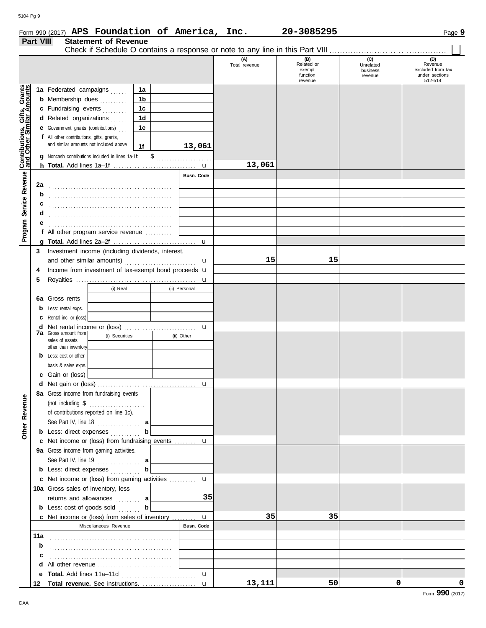#### Form 990 (2017) **APS Foundation of America, Inc. 20-3085295** Page 9 **APS Foundation of America, Inc. 20-3085295**

|                                                           | Part VIII | <b>Statement of Revenue</b>                          |             |               |                      |                                                    |                                         |                                                                  |
|-----------------------------------------------------------|-----------|------------------------------------------------------|-------------|---------------|----------------------|----------------------------------------------------|-----------------------------------------|------------------------------------------------------------------|
|                                                           |           |                                                      |             |               | (A)<br>Total revenue | (B)<br>Related or<br>exempt<br>function<br>revenue | (C)<br>Unrelated<br>business<br>revenue | (D)<br>Revenue<br>excluded from tax<br>under sections<br>512-514 |
|                                                           |           | 1a Federated campaigns                               | 1a          |               |                      |                                                    |                                         |                                                                  |
| Contributions, Gifts, Grants<br>and Other Similar Amounts |           | <b>b</b> Membership dues<br>.                        | 1b          |               |                      |                                                    |                                         |                                                                  |
|                                                           |           | c Fundraising events                                 | 1c          |               |                      |                                                    |                                         |                                                                  |
|                                                           |           | d Related organizations                              | 1d          |               |                      |                                                    |                                         |                                                                  |
|                                                           |           | <b>e</b> Government grants (contributions)           | 1e          |               |                      |                                                    |                                         |                                                                  |
|                                                           |           | f All other contributions, gifts, grants,            |             |               |                      |                                                    |                                         |                                                                  |
|                                                           |           | and similar amounts not included above               | 1f          | 13,061        |                      |                                                    |                                         |                                                                  |
|                                                           | g         | Noncash contributions included in lines 1a-1f:       |             |               |                      |                                                    |                                         |                                                                  |
|                                                           |           |                                                      |             |               | 13,061               |                                                    |                                         |                                                                  |
|                                                           |           |                                                      |             | Busn. Code    |                      |                                                    |                                         |                                                                  |
|                                                           | 2a        |                                                      |             |               |                      |                                                    |                                         |                                                                  |
|                                                           | b         |                                                      |             |               |                      |                                                    |                                         |                                                                  |
|                                                           |           |                                                      |             |               |                      |                                                    |                                         |                                                                  |
|                                                           | с         |                                                      |             |               |                      |                                                    |                                         |                                                                  |
|                                                           | d         |                                                      |             |               |                      |                                                    |                                         |                                                                  |
|                                                           | е         |                                                      |             |               |                      |                                                    |                                         |                                                                  |
| Program Service Revenue                                   |           | f All other program service revenue                  |             |               |                      |                                                    |                                         |                                                                  |
|                                                           |           |                                                      |             |               |                      |                                                    |                                         |                                                                  |
|                                                           | 3         | Investment income (including dividends, interest,    |             |               | 15                   | 15                                                 |                                         |                                                                  |
|                                                           |           |                                                      |             | u             |                      |                                                    |                                         |                                                                  |
|                                                           | 4         | Income from investment of tax-exempt bond proceeds u |             |               |                      |                                                    |                                         |                                                                  |
|                                                           | 5         |                                                      |             | u             |                      |                                                    |                                         |                                                                  |
|                                                           |           | (i) Real                                             |             | (ii) Personal |                      |                                                    |                                         |                                                                  |
|                                                           | 6а        | Gross rents                                          |             |               |                      |                                                    |                                         |                                                                  |
|                                                           | b         | Less: rental exps.                                   |             |               |                      |                                                    |                                         |                                                                  |
|                                                           | c         | Rental inc. or (loss)                                |             |               |                      |                                                    |                                         |                                                                  |
|                                                           | d         | <b>7a</b> Gross amount from                          |             | $\mathbf u$   |                      |                                                    |                                         |                                                                  |
|                                                           |           | (i) Securities<br>sales of assets                    |             | (ii) Other    |                      |                                                    |                                         |                                                                  |
|                                                           |           | other than inventory                                 |             |               |                      |                                                    |                                         |                                                                  |
|                                                           | b         | Less: cost or other                                  |             |               |                      |                                                    |                                         |                                                                  |
|                                                           |           | basis & sales exps.                                  |             |               |                      |                                                    |                                         |                                                                  |
|                                                           |           | c Gain or (loss)                                     |             |               |                      |                                                    |                                         |                                                                  |
|                                                           |           |                                                      |             | $\mathbf u$   |                      |                                                    |                                         |                                                                  |
|                                                           |           | 8a Gross income from fundraising events              |             |               |                      |                                                    |                                         |                                                                  |
|                                                           |           | (not including $\$\dots$                             |             |               |                      |                                                    |                                         |                                                                  |
|                                                           |           | of contributions reported on line 1c).               |             |               |                      |                                                    |                                         |                                                                  |
|                                                           |           | See Part IV, line $18$                               | a           |               |                      |                                                    |                                         |                                                                  |
| Other Revenue                                             |           | <b>b</b> Less: direct expenses                       | $\mathbf b$ |               |                      |                                                    |                                         |                                                                  |
|                                                           |           | c Net income or (loss) from fundraising events  u    |             |               |                      |                                                    |                                         |                                                                  |
|                                                           |           | 9a Gross income from gaming activities.              |             |               |                      |                                                    |                                         |                                                                  |
|                                                           |           | See Part IV, line 19                                 | a           |               |                      |                                                    |                                         |                                                                  |
|                                                           |           | <b>b</b> Less: direct expenses                       | $\mathbf b$ |               |                      |                                                    |                                         |                                                                  |
|                                                           |           | c Net income or (loss) from gaming activities  u     |             |               |                      |                                                    |                                         |                                                                  |
|                                                           |           | 10a Gross sales of inventory, less                   |             |               |                      |                                                    |                                         |                                                                  |
|                                                           |           | returns and allowances                               | a           | 35            |                      |                                                    |                                         |                                                                  |
|                                                           |           | <b>b</b> Less: cost of goods sold                    | $\mathbf b$ |               |                      |                                                    |                                         |                                                                  |
|                                                           |           | c Net income or (loss) from sales of inventory  u    |             |               | 35                   | 35                                                 |                                         |                                                                  |
|                                                           |           | Miscellaneous Revenue                                |             | Busn. Code    |                      |                                                    |                                         |                                                                  |
|                                                           | 11a       |                                                      |             |               |                      |                                                    |                                         |                                                                  |
|                                                           | b         |                                                      |             |               |                      |                                                    |                                         |                                                                  |
|                                                           | c         |                                                      |             |               |                      |                                                    |                                         |                                                                  |
|                                                           | d         | All other revenue                                    |             |               |                      |                                                    |                                         |                                                                  |
|                                                           | е         |                                                      |             | $\mathbf{u}$  |                      |                                                    |                                         |                                                                  |
|                                                           | 12        |                                                      |             |               | 13,111               | 50                                                 | $\Omega$                                | 0                                                                |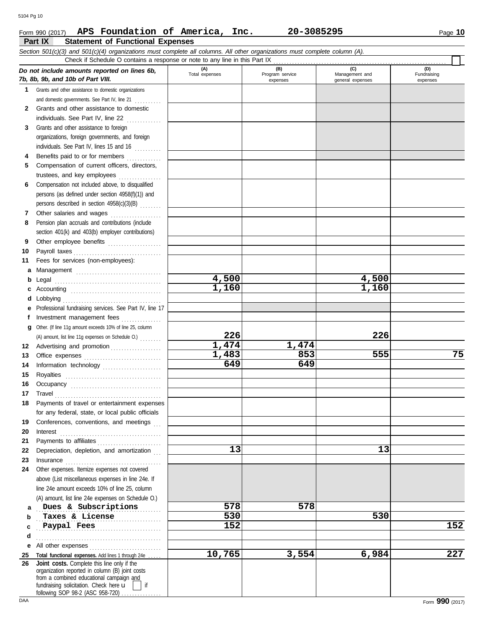### Form 990 (2017) Page **10 APS Foundation of America, Inc. 20-3085295**

**Part IX Statement of Functional Expenses**

|              | Section 501(c)(3) and 501(c)(4) organizations must complete all columns. All other organizations must complete column (A).<br>Check if Schedule O contains a response or note to any line in this Part IX                      |                       |                                    |                                           |                                |
|--------------|--------------------------------------------------------------------------------------------------------------------------------------------------------------------------------------------------------------------------------|-----------------------|------------------------------------|-------------------------------------------|--------------------------------|
|              | Do not include amounts reported on lines 6b,<br>7b, 8b, 9b, and 10b of Part VIII.                                                                                                                                              | (A)<br>Total expenses | (B)<br>Program service<br>expenses | (C)<br>Management and<br>general expenses | (D)<br>Fundraising<br>expenses |
|              | 1 Grants and other assistance to domestic organizations                                                                                                                                                                        |                       |                                    |                                           |                                |
|              | and domestic governments. See Part IV, line 21                                                                                                                                                                                 |                       |                                    |                                           |                                |
| $\mathbf{2}$ | Grants and other assistance to domestic                                                                                                                                                                                        |                       |                                    |                                           |                                |
|              | individuals. See Part IV, line 22                                                                                                                                                                                              |                       |                                    |                                           |                                |
| 3            | Grants and other assistance to foreign                                                                                                                                                                                         |                       |                                    |                                           |                                |
|              | organizations, foreign governments, and foreign                                                                                                                                                                                |                       |                                    |                                           |                                |
|              | individuals. See Part IV, lines 15 and 16                                                                                                                                                                                      |                       |                                    |                                           |                                |
| 4            | Benefits paid to or for members                                                                                                                                                                                                |                       |                                    |                                           |                                |
| 5            | Compensation of current officers, directors,                                                                                                                                                                                   |                       |                                    |                                           |                                |
|              | trustees, and key employees                                                                                                                                                                                                    |                       |                                    |                                           |                                |
| 6            | Compensation not included above, to disqualified                                                                                                                                                                               |                       |                                    |                                           |                                |
|              | persons (as defined under section 4958(f)(1)) and                                                                                                                                                                              |                       |                                    |                                           |                                |
|              | persons described in section 4958(c)(3)(B)                                                                                                                                                                                     |                       |                                    |                                           |                                |
| 7            | Other salaries and wages                                                                                                                                                                                                       |                       |                                    |                                           |                                |
| 8            | Pension plan accruals and contributions (include                                                                                                                                                                               |                       |                                    |                                           |                                |
|              | section 401(k) and 403(b) employer contributions)                                                                                                                                                                              |                       |                                    |                                           |                                |
| 9            | Other employee benefits                                                                                                                                                                                                        |                       |                                    |                                           |                                |
| 10           | Payroll taxes                                                                                                                                                                                                                  |                       |                                    |                                           |                                |
| 11           | Fees for services (non-employees):                                                                                                                                                                                             |                       |                                    |                                           |                                |
| a            |                                                                                                                                                                                                                                |                       |                                    |                                           |                                |
| b            | Legal                                                                                                                                                                                                                          | 4,500                 |                                    | 4,500                                     |                                |
| c            |                                                                                                                                                                                                                                | 1,160                 |                                    | 1,160                                     |                                |
| d            |                                                                                                                                                                                                                                |                       |                                    |                                           |                                |
| е            | Professional fundraising services. See Part IV, line 17                                                                                                                                                                        |                       |                                    |                                           |                                |
| f            | Investment management fees                                                                                                                                                                                                     |                       |                                    |                                           |                                |
| g            | Other. (If line 11g amount exceeds 10% of line 25, column                                                                                                                                                                      |                       |                                    |                                           |                                |
|              | (A) amount, list line 11g expenses on Schedule O.)                                                                                                                                                                             | 226                   |                                    | 226                                       |                                |
| 12           | Advertising and promotion                                                                                                                                                                                                      | 1,474                 | 1,474                              |                                           |                                |
| 13           |                                                                                                                                                                                                                                | 1,483                 | 853                                | 555                                       | 75                             |
| 14           |                                                                                                                                                                                                                                | 649                   | 649                                |                                           |                                |
| 15           |                                                                                                                                                                                                                                |                       |                                    |                                           |                                |
| 16           |                                                                                                                                                                                                                                |                       |                                    |                                           |                                |
| 17           |                                                                                                                                                                                                                                |                       |                                    |                                           |                                |
|              | Payments of travel or entertainment expenses                                                                                                                                                                                   |                       |                                    |                                           |                                |
|              | for any federal, state, or local public officials                                                                                                                                                                              |                       |                                    |                                           |                                |
| 19           | Conferences, conventions, and meetings                                                                                                                                                                                         |                       |                                    |                                           |                                |
| 20           | Interest                                                                                                                                                                                                                       |                       |                                    |                                           |                                |
| 21           | Payments to affiliates                                                                                                                                                                                                         | 13                    |                                    | 13                                        |                                |
| 22<br>23     | Depreciation, depletion, and amortization                                                                                                                                                                                      |                       |                                    |                                           |                                |
| 24           | Other expenses. Itemize expenses not covered                                                                                                                                                                                   |                       |                                    |                                           |                                |
|              | above (List miscellaneous expenses in line 24e. If                                                                                                                                                                             |                       |                                    |                                           |                                |
|              | line 24e amount exceeds 10% of line 25, column                                                                                                                                                                                 |                       |                                    |                                           |                                |
|              | (A) amount, list line 24e expenses on Schedule O.)                                                                                                                                                                             |                       |                                    |                                           |                                |
| a            | Dues & Subscriptions                                                                                                                                                                                                           | 578                   | 578                                |                                           |                                |
| b            | Taxes & License                                                                                                                                                                                                                | 530                   |                                    | 530                                       |                                |
| c            | Paypal Fees                                                                                                                                                                                                                    | 152                   |                                    |                                           | 152                            |
| d            |                                                                                                                                                                                                                                |                       |                                    |                                           |                                |
| е            | All other expenses                                                                                                                                                                                                             |                       |                                    |                                           |                                |
| 25           | Total functional expenses. Add lines 1 through 24e                                                                                                                                                                             | 10,765                | 3,554                              | 6,984                                     | 227                            |
| 26           | Joint costs. Complete this line only if the<br>organization reported in column (B) joint costs<br>from a combined educational campaign and<br>fundraising solicitation. Check here u<br>if<br>following SOP 98-2 (ASC 958-720) |                       |                                    |                                           |                                |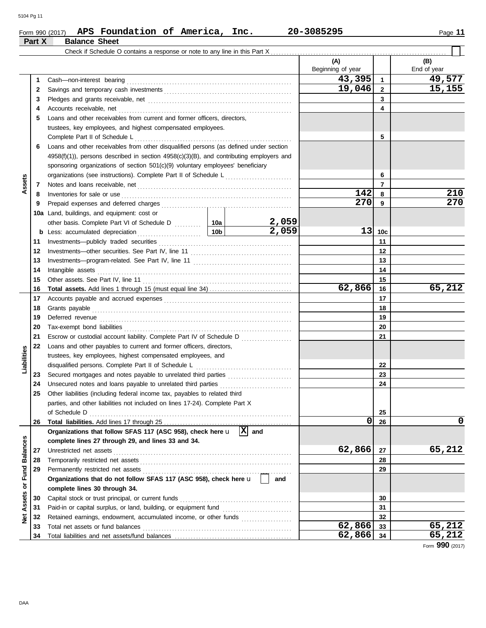|                     | Part X   | <b>Balance Sheet</b>                                                                                  |      |       |                          |                |                    |
|---------------------|----------|-------------------------------------------------------------------------------------------------------|------|-------|--------------------------|----------------|--------------------|
|                     |          |                                                                                                       |      |       |                          |                |                    |
|                     |          |                                                                                                       |      |       | (A)<br>Beginning of year |                | (B)<br>End of year |
|                     | 1        |                                                                                                       |      |       | 43,395                   | $\mathbf{1}$   | 49,577             |
|                     | 2        |                                                                                                       |      |       | 19,046                   | $\mathbf{2}$   | 15,155             |
|                     | 3        |                                                                                                       |      |       |                          | 3              |                    |
|                     | 4        | Accounts receivable, net                                                                              |      |       |                          | 4              |                    |
|                     | 5        | Loans and other receivables from current and former officers, directors.                              |      |       |                          |                |                    |
|                     |          | trustees, key employees, and highest compensated employees.                                           |      |       |                          |                |                    |
|                     |          | Complete Part II of Schedule L                                                                        |      |       |                          | 5              |                    |
|                     | 6        | Loans and other receivables from other disqualified persons (as defined under section                 |      |       |                          |                |                    |
|                     |          | $4958(f)(1)$ , persons described in section $4958(c)(3)(B)$ , and contributing employers and          |      |       |                          |                |                    |
|                     |          | sponsoring organizations of section 501(c)(9) voluntary employees' beneficiary                        |      |       |                          |                |                    |
|                     |          |                                                                                                       |      |       |                          | 6              |                    |
| Assets              | 7        |                                                                                                       |      |       |                          | $\overline{7}$ |                    |
|                     | 8        | Inventories for sale or use                                                                           |      |       | 142                      | 8              | 210                |
|                     | 9        |                                                                                                       |      |       | 270                      | 9              | 270                |
|                     | 10a      | Land, buildings, and equipment: cost or                                                               |      |       |                          |                |                    |
|                     |          |                                                                                                       |      | 2,059 |                          |                |                    |
|                     | b        | Less: accumulated depreciation                                                                        | 10bl | 2,059 | 13                       | 10c            |                    |
|                     | 11       |                                                                                                       |      |       |                          | 11             |                    |
|                     | 12       |                                                                                                       |      |       | 12                       |                |                    |
|                     | 13       |                                                                                                       |      |       | 13                       |                |                    |
|                     | 14       | Intangible assets                                                                                     |      |       | 14                       |                |                    |
|                     | 15       |                                                                                                       |      |       |                          | 15             |                    |
|                     | 16       |                                                                                                       |      |       | 62,866                   | 16             | 65,212             |
|                     | 17       |                                                                                                       |      |       |                          | 17             |                    |
|                     | 18       |                                                                                                       |      |       | 18                       |                |                    |
|                     | 19       |                                                                                                       |      |       |                          | 19             |                    |
|                     | 20       |                                                                                                       |      |       |                          | 20             |                    |
|                     | 21       | Escrow or custodial account liability. Complete Part IV of Schedule D                                 |      |       |                          | 21             |                    |
|                     | 22       | Loans and other payables to current and former officers, directors,                                   |      |       |                          |                |                    |
|                     |          | trustees, key employees, highest compensated employees, and                                           |      |       |                          |                |                    |
| Liabilities         |          | disqualified persons. Complete Part II of Schedule L                                                  |      |       |                          | 22             |                    |
|                     | 23       | Secured mortgages and notes payable to unrelated third parties                                        |      |       |                          | 23             |                    |
|                     | 24       |                                                                                                       |      |       |                          | 24             |                    |
|                     | 25       | Other liabilities (including federal income tax, payables to related third                            |      |       |                          |                |                    |
|                     |          | parties, and other liabilities not included on lines 17-24). Complete Part X                          |      |       |                          |                |                    |
|                     |          |                                                                                                       |      |       |                          | 25             |                    |
|                     | 26       |                                                                                                       |      |       | 0                        | 26             | 0                  |
|                     |          | Organizations that follow SFAS 117 (ASC 958), check here $\mathbf{u}$ $\mathbf{X}$ and                |      |       |                          |                |                    |
|                     |          | complete lines 27 through 29, and lines 33 and 34.                                                    |      |       |                          |                |                    |
| <b>Balances</b>     | 27       | Unrestricted net assets                                                                               |      |       | 62,866                   | 27             | 65,212             |
|                     | 28       |                                                                                                       |      |       |                          | 28             |                    |
| Fund                | 29       |                                                                                                       |      |       |                          | 29             |                    |
| $\overline{\sigma}$ |          | Organizations that do not follow SFAS 117 (ASC 958), check here u                                     |      | and   |                          |                |                    |
|                     |          | complete lines 30 through 34.                                                                         |      |       |                          |                |                    |
| Assets              | 30       | Capital stock or trust principal, or current funds                                                    |      |       |                          | 30             |                    |
|                     | 31       | Paid-in or capital surplus, or land, building, or equipment fund [                                    |      |       |                          | 31             |                    |
| ğ                   | 32<br>33 | Retained earnings, endowment, accumulated income, or other funds<br>Total net assets or fund balances |      |       | 62,866                   | 32<br>33       | 65,212             |
|                     | 34       |                                                                                                       |      |       | 62,866                   | 34             | 65,212             |
|                     |          |                                                                                                       |      |       |                          |                |                    |

Form **990** (2017)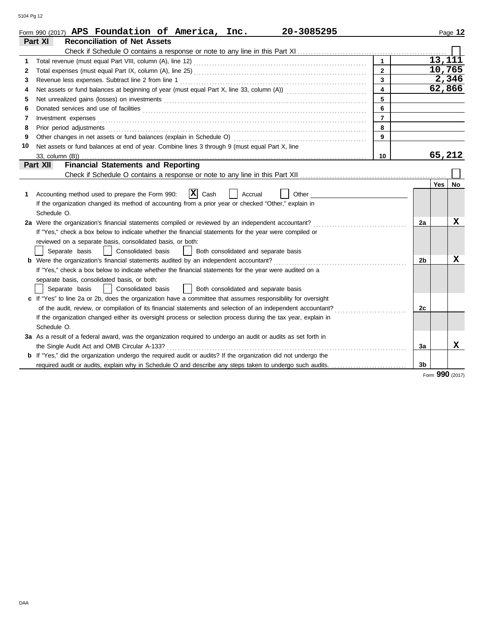|    | Form 990 (2017) APS Foundation of America, Inc.<br>20-3085295                                                                                                                                                                  |                         |                | Page 12            |
|----|--------------------------------------------------------------------------------------------------------------------------------------------------------------------------------------------------------------------------------|-------------------------|----------------|--------------------|
|    | <b>Reconciliation of Net Assets</b><br>Part XI                                                                                                                                                                                 |                         |                |                    |
|    |                                                                                                                                                                                                                                |                         |                |                    |
| 1  |                                                                                                                                                                                                                                | $\mathbf 1$             |                | 13,111             |
| 2  |                                                                                                                                                                                                                                | $\overline{2}$          |                | 10,765             |
| 3  | Revenue less expenses. Subtract line 2 from line 1                                                                                                                                                                             | $\overline{\mathbf{3}}$ |                | $\overline{2,346}$ |
| 4  |                                                                                                                                                                                                                                | $\overline{4}$          |                | 62,866             |
| 5  |                                                                                                                                                                                                                                | 5                       |                |                    |
| 6  |                                                                                                                                                                                                                                | $6\phantom{a}$          |                |                    |
| 7  |                                                                                                                                                                                                                                | $\overline{7}$          |                |                    |
| 8  | Prior period adjustments [11, 12] materials and an intervention of the contract of the contract of the contract of the contract of the contract of the contract of the contract of the contract of the contract of the contrac | 8                       |                |                    |
| 9  |                                                                                                                                                                                                                                | $\overline{9}$          |                |                    |
| 10 | Net assets or fund balances at end of year. Combine lines 3 through 9 (must equal Part X, line                                                                                                                                 |                         |                |                    |
|    |                                                                                                                                                                                                                                | 10                      |                | 65,212             |
|    | <b>Financial Statements and Reporting</b><br><b>Part XII</b>                                                                                                                                                                   |                         |                |                    |
|    |                                                                                                                                                                                                                                |                         |                |                    |
|    |                                                                                                                                                                                                                                |                         |                | Yes<br>No          |
| 1  | $ {\bf x} $<br>Accounting method used to prepare the Form 990:<br>Cash<br>Other<br>Accrual                                                                                                                                     |                         |                |                    |
|    | If the organization changed its method of accounting from a prior year or checked "Other," explain in                                                                                                                          |                         |                |                    |
|    | Schedule O.                                                                                                                                                                                                                    |                         |                |                    |
|    | 2a Were the organization's financial statements compiled or reviewed by an independent accountant?                                                                                                                             |                         | 2a             | x                  |
|    | If "Yes," check a box below to indicate whether the financial statements for the year were compiled or                                                                                                                         |                         |                |                    |
|    | reviewed on a separate basis, consolidated basis, or both:                                                                                                                                                                     |                         |                |                    |
|    | Separate basis<br>  Consolidated basis<br>Both consolidated and separate basis                                                                                                                                                 |                         |                |                    |
|    | <b>b</b> Were the organization's financial statements audited by an independent accountant?                                                                                                                                    |                         | 2 <sub>b</sub> | x                  |
|    | If "Yes," check a box below to indicate whether the financial statements for the year were audited on a                                                                                                                        |                         |                |                    |
|    | separate basis, consolidated basis, or both:                                                                                                                                                                                   |                         |                |                    |
|    | Separate basis<br>  Consolidated basis<br>Both consolidated and separate basis                                                                                                                                                 |                         |                |                    |
|    | c If "Yes" to line 2a or 2b, does the organization have a committee that assumes responsibility for oversight                                                                                                                  |                         |                |                    |
|    |                                                                                                                                                                                                                                |                         | 2c             |                    |
|    | If the organization changed either its oversight process or selection process during the tax year, explain in                                                                                                                  |                         |                |                    |
|    | Schedule O.                                                                                                                                                                                                                    |                         |                |                    |
|    | 3a As a result of a federal award, was the organization required to undergo an audit or audits as set forth in                                                                                                                 |                         |                |                    |
|    | the Single Audit Act and OMB Circular A-133?                                                                                                                                                                                   |                         | 3a             | x                  |
|    | b If "Yes," did the organization undergo the required audit or audits? If the organization did not undergo the                                                                                                                 |                         |                |                    |
|    | required audit or audits, explain why in Schedule O and describe any steps taken to undergo such audits.                                                                                                                       |                         | 3 <sub>b</sub> |                    |

Form **990** (2017)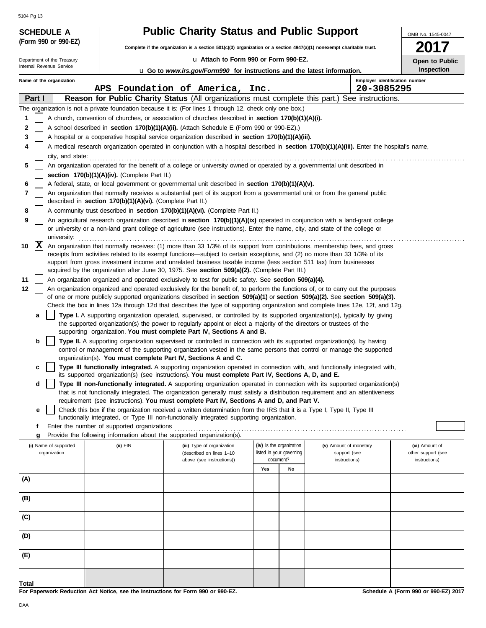|                                                        |                                                            | <b>Public Charity Status and Public Support</b>                                                                                                                                                                                                           |                                       |                        | OMB No. 1545-0047              |
|--------------------------------------------------------|------------------------------------------------------------|-----------------------------------------------------------------------------------------------------------------------------------------------------------------------------------------------------------------------------------------------------------|---------------------------------------|------------------------|--------------------------------|
|                                                        |                                                            | Complete if the organization is a section 501(c)(3) organization or a section 4947(a)(1) nonexempt charitable trust.                                                                                                                                      |                                       |                        |                                |
| Department of the Treasury<br>Internal Revenue Service |                                                            |                                                                                                                                                                                                                                                           | La Attach to Form 990 or Form 990-EZ. |                        | Open to Public<br>Inspection   |
| Name of the organization                               |                                                            | <b>u</b> Go to www.irs.gov/Form990 for instructions and the latest information.                                                                                                                                                                           |                                       |                        | Employer identification number |
|                                                        |                                                            | APS Foundation of America, Inc.                                                                                                                                                                                                                           |                                       | 20-3085295             |                                |
| Part I                                                 |                                                            | Reason for Public Charity Status (All organizations must complete this part.) See instructions.                                                                                                                                                           |                                       |                        |                                |
|                                                        |                                                            | The organization is not a private foundation because it is: (For lines 1 through 12, check only one box.)                                                                                                                                                 |                                       |                        |                                |
| 1                                                      |                                                            | A church, convention of churches, or association of churches described in section 170(b)(1)(A)(i).                                                                                                                                                        |                                       |                        |                                |
| 2                                                      |                                                            | A school described in section 170(b)(1)(A)(ii). (Attach Schedule E (Form 990 or 990-EZ).)                                                                                                                                                                 |                                       |                        |                                |
| 3<br>4                                                 |                                                            | A hospital or a cooperative hospital service organization described in section 170(b)(1)(A)(iii).<br>A medical research organization operated in conjunction with a hospital described in section 170(b)(1)(A)(iii). Enter the hospital's name,           |                                       |                        |                                |
|                                                        |                                                            |                                                                                                                                                                                                                                                           |                                       |                        |                                |
| 5                                                      |                                                            | An organization operated for the benefit of a college or university owned or operated by a governmental unit described in                                                                                                                                 |                                       |                        |                                |
|                                                        | section 170(b)(1)(A)(iv). (Complete Part II.)              |                                                                                                                                                                                                                                                           |                                       |                        |                                |
| 6                                                      |                                                            | A federal, state, or local government or governmental unit described in section 170(b)(1)(A)(v).                                                                                                                                                          |                                       |                        |                                |
| 7                                                      | described in section 170(b)(1)(A)(vi). (Complete Part II.) | An organization that normally receives a substantial part of its support from a governmental unit or from the general public                                                                                                                              |                                       |                        |                                |
| 8                                                      |                                                            | A community trust described in section 170(b)(1)(A)(vi). (Complete Part II.)                                                                                                                                                                              |                                       |                        |                                |
| 9                                                      |                                                            | An agricultural research organization described in section 170(b)(1)(A)(ix) operated in conjunction with a land-grant college                                                                                                                             |                                       |                        |                                |
|                                                        |                                                            | or university or a non-land grant college of agriculture (see instructions). Enter the name, city, and state of the college or                                                                                                                            |                                       |                        |                                |
| university:<br>$\vert x \vert$<br>10                   |                                                            | An organization that normally receives: (1) more than 33 1/3% of its support from contributions, membership fees, and gross                                                                                                                               |                                       |                        |                                |
|                                                        |                                                            | receipts from activities related to its exempt functions—subject to certain exceptions, and (2) no more than 33 1/3% of its                                                                                                                               |                                       |                        |                                |
|                                                        |                                                            | support from gross investment income and unrelated business taxable income (less section 511 tax) from businesses                                                                                                                                         |                                       |                        |                                |
| 11                                                     |                                                            | acquired by the organization after June 30, 1975. See section 509(a)(2). (Complete Part III.)<br>An organization organized and operated exclusively to test for public safety. See section 509(a)(4).                                                     |                                       |                        |                                |
| 12                                                     |                                                            | An organization organized and operated exclusively for the benefit of, to perform the functions of, or to carry out the purposes                                                                                                                          |                                       |                        |                                |
|                                                        |                                                            | of one or more publicly supported organizations described in section $509(a)(1)$ or section $509(a)(2)$ . See section $509(a)(3)$ .                                                                                                                       |                                       |                        |                                |
|                                                        |                                                            | Check the box in lines 12a through 12d that describes the type of supporting organization and complete lines 12e, 12f, and 12g.                                                                                                                           |                                       |                        |                                |
| a                                                      |                                                            | Type I. A supporting organization operated, supervised, or controlled by its supported organization(s), typically by giving<br>the supported organization(s) the power to regularly appoint or elect a majority of the directors or trustees of the       |                                       |                        |                                |
|                                                        |                                                            | supporting organization. You must complete Part IV, Sections A and B.                                                                                                                                                                                     |                                       |                        |                                |
| b                                                      |                                                            | Type II. A supporting organization supervised or controlled in connection with its supported organization(s), by having                                                                                                                                   |                                       |                        |                                |
|                                                        |                                                            | control or management of the supporting organization vested in the same persons that control or manage the supported<br>organization(s). You must complete Part IV, Sections A and C.                                                                     |                                       |                        |                                |
| с                                                      |                                                            | Type III functionally integrated. A supporting organization operated in connection with, and functionally integrated with,                                                                                                                                |                                       |                        |                                |
|                                                        |                                                            | its supported organization(s) (see instructions). You must complete Part IV, Sections A, D, and E.                                                                                                                                                        |                                       |                        |                                |
| d                                                      |                                                            | Type III non-functionally integrated. A supporting organization operated in connection with its supported organization(s)<br>that is not functionally integrated. The organization generally must satisfy a distribution requirement and an attentiveness |                                       |                        |                                |
|                                                        |                                                            | requirement (see instructions). You must complete Part IV, Sections A and D, and Part V.                                                                                                                                                                  |                                       |                        |                                |
| е                                                      |                                                            | Check this box if the organization received a written determination from the IRS that it is a Type I, Type II, Type III                                                                                                                                   |                                       |                        |                                |
|                                                        | Enter the number of supported organizations                | functionally integrated, or Type III non-functionally integrated supporting organization.                                                                                                                                                                 |                                       |                        |                                |
|                                                        |                                                            |                                                                                                                                                                                                                                                           |                                       |                        |                                |
| f                                                      |                                                            |                                                                                                                                                                                                                                                           |                                       |                        |                                |
| g<br>(i) Name of supported                             | $(ii)$ EIN                                                 | Provide the following information about the supported organization(s).<br>(iii) Type of organization                                                                                                                                                      | (iv) Is the organization              | (v) Amount of monetary | (vi) Amount of                 |
| organization                                           |                                                            | (described on lines 1-10                                                                                                                                                                                                                                  | listed in your governing              | support (see           | other support (see             |
|                                                        |                                                            | above (see instructions))                                                                                                                                                                                                                                 | document?<br>Yes<br>No                | instructions)          | instructions)                  |
|                                                        |                                                            |                                                                                                                                                                                                                                                           |                                       |                        |                                |
|                                                        |                                                            |                                                                                                                                                                                                                                                           |                                       |                        |                                |
|                                                        |                                                            |                                                                                                                                                                                                                                                           |                                       |                        |                                |
|                                                        |                                                            |                                                                                                                                                                                                                                                           |                                       |                        |                                |
|                                                        |                                                            |                                                                                                                                                                                                                                                           |                                       |                        |                                |
|                                                        |                                                            |                                                                                                                                                                                                                                                           |                                       |                        |                                |
| (A)<br>(B)<br>(C)<br>(D)                               |                                                            |                                                                                                                                                                                                                                                           |                                       |                        |                                |
| (E)                                                    |                                                            |                                                                                                                                                                                                                                                           |                                       |                        |                                |
|                                                        |                                                            |                                                                                                                                                                                                                                                           |                                       |                        |                                |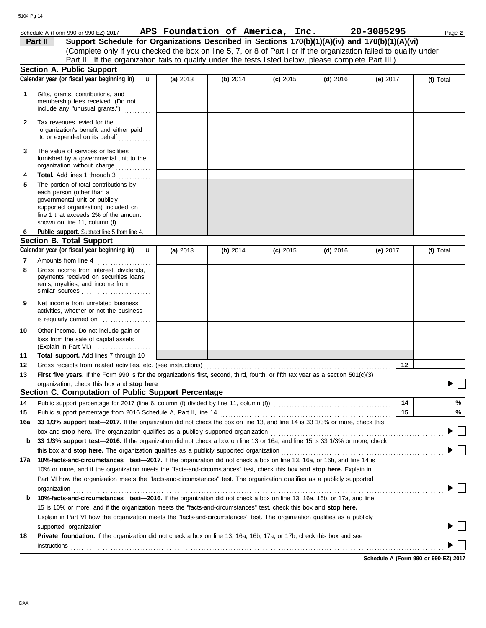### Schedule A (Form 990 or 990-EZ) 2017 Page **2 APS Foundation of America, Inc. 20-3085295**

(Complete only if you checked the box on line 5, 7, or 8 of Part I or if the organization failed to qualify under **Part II** Support Schedule for Organizations Described in Sections 170(b)(1)(A)(iv) and 170(b)(1)(A)(vi) Part III. If the organization fails to qualify under the tests listed below, please complete Part III.)

|              | T and the this in the original attion range to quality arract the todo hoteld bolow; produce complete rand int<br><b>Section A. Public Support</b> |          |            |            |            |            |    |           |
|--------------|----------------------------------------------------------------------------------------------------------------------------------------------------|----------|------------|------------|------------|------------|----|-----------|
|              | Calendar year (or fiscal year beginning in)<br>$\mathbf{u}$                                                                                        | (a) 2013 | (b) $2014$ | $(c)$ 2015 | $(d)$ 2016 | (e) $2017$ |    | (f) Total |
| 1            | Gifts, grants, contributions, and<br>membership fees received. (Do not<br>include any "unusual grants.")                                           |          |            |            |            |            |    |           |
| $\mathbf{2}$ | Tax revenues levied for the<br>organization's benefit and either paid<br>to or expended on its behalf                                              |          |            |            |            |            |    |           |
| 3            | The value of services or facilities<br>furnished by a governmental unit to the<br>organization without charge                                      |          |            |            |            |            |    |           |
| 4<br>5       | Total. Add lines 1 through 3<br><u>.</u><br>The portion of total contributions by<br>each person (other than a                                     |          |            |            |            |            |    |           |
|              | governmental unit or publicly<br>supported organization) included on<br>line 1 that exceeds 2% of the amount                                       |          |            |            |            |            |    |           |
|              | shown on line 11, column (f) $\ldots$                                                                                                              |          |            |            |            |            |    |           |
| 6            | Public support. Subtract line 5 from line 4.<br><b>Section B. Total Support</b>                                                                    |          |            |            |            |            |    |           |
|              | Calendar year (or fiscal year beginning in)<br>$\mathbf{u}$                                                                                        | (a) 2013 | (b) $2014$ | $(c)$ 2015 | $(d)$ 2016 | (e) 2017   |    | (f) Total |
|              | Amounts from line 4                                                                                                                                |          |            |            |            |            |    |           |
| 7<br>8       | .<br>Gross income from interest, dividends,<br>payments received on securities loans,<br>rents, royalties, and income from                         |          |            |            |            |            |    |           |
|              | similar sources $\ldots, \ldots, \ldots, \ldots, \ldots, \ldots$                                                                                   |          |            |            |            |            |    |           |
| 9            | Net income from unrelated business<br>activities, whether or not the business<br>is regularly carried on                                           |          |            |            |            |            |    |           |
| 10           | Other income. Do not include gain or<br>loss from the sale of capital assets                                                                       |          |            |            |            |            |    |           |
| 11           | Total support. Add lines 7 through 10                                                                                                              |          |            |            |            |            |    |           |
| 12           |                                                                                                                                                    |          |            |            |            |            | 12 |           |
| 13           | First five years. If the Form 990 is for the organization's first, second, third, fourth, or fifth tax year as a section 501(c)(3)                 |          |            |            |            |            |    |           |
|              |                                                                                                                                                    |          |            |            |            |            |    |           |
|              | Section C. Computation of Public Support Percentage                                                                                                |          |            |            |            |            |    |           |
| 14           | Public support percentage for 2017 (line 6, column (f) divided by line 11, column (f)) [[[[[[[[[[[[[[[[[[[[[[                                      |          |            |            |            |            | 14 | %         |
| 15           | Public support percentage from 2016 Schedule A, Part II, line 14                                                                                   |          |            |            |            |            | 15 | %         |
|              | 16a 33 1/3% support test—2017. If the organization did not check the box on line 13, and line 14 is 33 1/3% or more, check this                    |          |            |            |            |            |    |           |
|              | box and stop here. The organization qualifies as a publicly supported organization                                                                 |          |            |            |            |            |    |           |
| b            | 33 1/3% support test-2016. If the organization did not check a box on line 13 or 16a, and line 15 is 33 1/3% or more, check                        |          |            |            |            |            |    |           |
|              | this box and <b>stop here.</b> The organization qualifies as a publicly supported organization                                                     |          |            |            |            |            |    |           |
| 17a          | 10%-facts-and-circumstances test-2017. If the organization did not check a box on line 13, 16a, or 16b, and line 14 is                             |          |            |            |            |            |    |           |
|              | 10% or more, and if the organization meets the "facts-and-circumstances" test, check this box and <b>stop here.</b> Explain in                     |          |            |            |            |            |    |           |
|              | Part VI how the organization meets the "facts-and-circumstances" test. The organization qualifies as a publicly supported                          |          |            |            |            |            |    |           |
|              | organization www.commutation.commutation.com/www.commutation.com/www.commutation.com/www.commutation.com/www.com                                   |          |            |            |            |            |    |           |
| b            | 10%-facts-and-circumstances test-2016. If the organization did not check a box on line 13, 16a, 16b, or 17a, and line                              |          |            |            |            |            |    |           |
|              | 15 is 10% or more, and if the organization meets the "facts-and-circumstances" test, check this box and stop here.                                 |          |            |            |            |            |    |           |
|              | Explain in Part VI how the organization meets the "facts-and-circumstances" test. The organization qualifies as a publicly                         |          |            |            |            |            |    |           |
|              | supported organization                                                                                                                             |          |            |            |            |            |    |           |
| 18           | Private foundation. If the organization did not check a box on line 13, 16a, 16b, 17a, or 17b, check this box and see                              |          |            |            |            |            |    |           |
|              | instructions                                                                                                                                       |          |            |            |            |            |    |           |
|              |                                                                                                                                                    |          |            |            |            |            |    |           |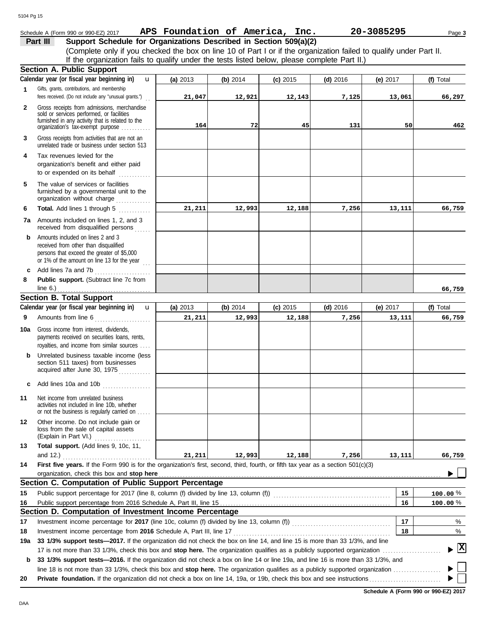## **Part III Support Schedule for Organizations Described in Section 509(a)(2)** Schedule A (Form 990 or 990-EZ) 2017 Page **3 APS Foundation of America, Inc. 20-3085295**

(Complete only if you checked the box on line 10 of Part I or if the organization failed to qualify under Part II. If the organization fails to qualify under the tests listed below, please complete Part II.)

|              | <b>Section A. Public Support</b>                                                                                                                                                          |            |            |            |            |            |                      |
|--------------|-------------------------------------------------------------------------------------------------------------------------------------------------------------------------------------------|------------|------------|------------|------------|------------|----------------------|
|              | Calendar year (or fiscal year beginning in)<br>$\mathbf{u}$                                                                                                                               | (a) 2013   | (b) 2014   | $(c)$ 2015 | $(d)$ 2016 | (e) $2017$ | (f) Total            |
| 1            | Gifts, grants, contributions, and membership                                                                                                                                              |            |            |            |            |            |                      |
|              | fees received. (Do not include any "unusual grants.")                                                                                                                                     | 21,047     | 12,921     | 12,143     | 7,125      | 13,061     | 66,297               |
| $\mathbf{2}$ | Gross receipts from admissions, merchandise                                                                                                                                               |            |            |            |            |            |                      |
|              | sold or services performed, or facilities<br>furnished in any activity that is related to the                                                                                             |            |            |            |            |            |                      |
|              | organization's tax-exempt purpose                                                                                                                                                         | 164        | 72         | 45         | 131        | 50         | 462                  |
| 3            | Gross receipts from activities that are not an<br>unrelated trade or business under section 513                                                                                           |            |            |            |            |            |                      |
| 4            | Tax revenues levied for the                                                                                                                                                               |            |            |            |            |            |                      |
|              | organization's benefit and either paid<br>to or expended on its behalf                                                                                                                    |            |            |            |            |            |                      |
| 5            | The value of services or facilities<br>furnished by a governmental unit to the<br>organization without charge                                                                             |            |            |            |            |            |                      |
| 6            | Total. Add lines 1 through 5                                                                                                                                                              | 21,211     | 12,993     | 12,188     | 7,256      | 13,111     | 66,759               |
|              | 7a Amounts included on lines 1, 2, and 3<br>received from disqualified persons                                                                                                            |            |            |            |            |            |                      |
| b            | Amounts included on lines 2 and 3<br>received from other than disqualified<br>persons that exceed the greater of \$5,000<br>or 1% of the amount on line 13 for the year $\ldots$          |            |            |            |            |            |                      |
| c            | Add lines 7a and 7b                                                                                                                                                                       |            |            |            |            |            |                      |
| 8            | Public support. (Subtract line 7c from                                                                                                                                                    |            |            |            |            |            |                      |
|              | line $6.$ )                                                                                                                                                                               |            |            |            |            |            | 66,759               |
|              | <b>Section B. Total Support</b>                                                                                                                                                           |            |            |            |            |            |                      |
|              | Calendar year (or fiscal year beginning in)<br>$\mathbf{u}$                                                                                                                               | (a) $2013$ | (b) $2014$ | $(c)$ 2015 | $(d)$ 2016 | (e) 2017   | (f) Total            |
| 9            | Amounts from line 6                                                                                                                                                                       | 21,211     | 12,993     | 12,188     | 7,256      | 13,111     | 66,759               |
| 10a          | Gross income from interest, dividends,<br>payments received on securities loans, rents,<br>royalties, and income from similar sources                                                     |            |            |            |            |            |                      |
| b            | Unrelated business taxable income (less<br>section 511 taxes) from businesses<br>acquired after June 30, 1975                                                                             |            |            |            |            |            |                      |
| c            | Add lines 10a and 10b                                                                                                                                                                     |            |            |            |            |            |                      |
| 11           | Net income from unrelated business<br>activities not included in line 10b, whether<br>or not the business is regularly carried on                                                         |            |            |            |            |            |                      |
| 12           | Other income. Do not include gain or<br>loss from the sale of capital assets<br>(Explain in Part VI.)                                                                                     |            |            |            |            |            |                      |
| 13           | Total support. (Add lines 9, 10c, 11,                                                                                                                                                     |            |            |            |            |            |                      |
|              | and 12.) $\ldots$                                                                                                                                                                         | 21,211     | 12,993     | 12,188     | 7,256      | 13,111     | 66,759               |
| 14           | First five years. If the Form 990 is for the organization's first, second, third, fourth, or fifth tax year as a section 501(c)(3)                                                        |            |            |            |            |            |                      |
|              | organization, check this box and stop here                                                                                                                                                |            |            |            |            |            |                      |
|              | Section C. Computation of Public Support Percentage                                                                                                                                       |            |            |            |            |            |                      |
| 15           | Public support percentage for 2017 (line 8, column (f) divided by line 13, column (f)) [[[[[[[[[[[[[[[[[[[[[[                                                                             |            |            |            |            | 15         | 100.00%              |
| 16           |                                                                                                                                                                                           |            |            |            |            | 16         | 100.00%              |
|              | Section D. Computation of Investment Income Percentage                                                                                                                                    |            |            |            |            |            |                      |
| 17           |                                                                                                                                                                                           |            |            |            |            | 17         | %                    |
| 18           |                                                                                                                                                                                           |            |            |            |            | 18         | %                    |
| 19a          | 33 1/3% support tests-2017. If the organization did not check the box on line 14, and line 15 is more than 33 1/3%, and line                                                              |            |            |            |            |            |                      |
|              |                                                                                                                                                                                           |            |            |            |            |            | $\boxed{\mathbf{X}}$ |
| b            | 33 1/3% support tests—2016. If the organization did not check a box on line 14 or line 19a, and line 16 is more than 33 1/3%, and                                                         |            |            |            |            |            |                      |
|              |                                                                                                                                                                                           |            |            |            |            |            |                      |
| 20           | <b>Private foundation.</b> If the organization did not check a box on line 14, 19a, or 19b, check this box and see instructions <i>community of the organization</i> did not check a box. |            |            |            |            |            |                      |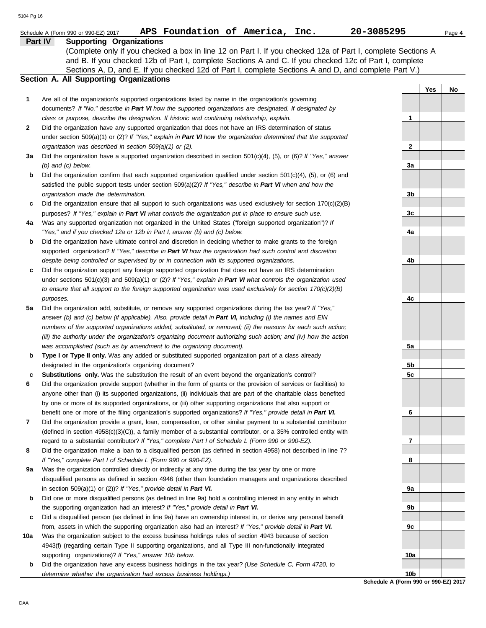|     | APS Foundation of America, Inc.<br>Schedule A (Form 990 or 990-EZ) 2017                                                                                                                                               | 20-3085295      | Page 4 |
|-----|-----------------------------------------------------------------------------------------------------------------------------------------------------------------------------------------------------------------------|-----------------|--------|
|     | Part IV<br><b>Supporting Organizations</b>                                                                                                                                                                            |                 |        |
|     | (Complete only if you checked a box in line 12 on Part I. If you checked 12a of Part I, complete Sections A                                                                                                           |                 |        |
|     | and B. If you checked 12b of Part I, complete Sections A and C. If you checked 12c of Part I, complete                                                                                                                |                 |        |
|     | Sections A, D, and E. If you checked 12d of Part I, complete Sections A and D, and complete Part V.)                                                                                                                  |                 |        |
|     | Section A. All Supporting Organizations                                                                                                                                                                               |                 |        |
|     |                                                                                                                                                                                                                       | Yes             | No     |
| 1   | Are all of the organization's supported organizations listed by name in the organization's governing                                                                                                                  |                 |        |
|     | documents? If "No," describe in Part VI how the supported organizations are designated. If designated by                                                                                                              |                 |        |
|     | class or purpose, describe the designation. If historic and continuing relationship, explain.                                                                                                                         | $\mathbf 1$     |        |
| 2   | Did the organization have any supported organization that does not have an IRS determination of status                                                                                                                |                 |        |
|     | under section 509(a)(1) or (2)? If "Yes," explain in Part VI how the organization determined that the supported                                                                                                       |                 |        |
|     | organization was described in section 509(a)(1) or (2).                                                                                                                                                               | $\mathbf{2}$    |        |
| За  | Did the organization have a supported organization described in section $501(c)(4)$ , (5), or (6)? If "Yes," answer                                                                                                   |                 |        |
|     | $(b)$ and $(c)$ below.                                                                                                                                                                                                | 3a              |        |
| b   | Did the organization confirm that each supported organization qualified under section $501(c)(4)$ , (5), or (6) and                                                                                                   |                 |        |
|     | satisfied the public support tests under section 509(a)(2)? If "Yes," describe in Part VI when and how the                                                                                                            |                 |        |
|     | organization made the determination.                                                                                                                                                                                  | 3b              |        |
| c   | Did the organization ensure that all support to such organizations was used exclusively for section $170(c)(2)(B)$                                                                                                    |                 |        |
|     | purposes? If "Yes," explain in Part VI what controls the organization put in place to ensure such use.                                                                                                                | 3c              |        |
| 4a  | Was any supported organization not organized in the United States ("foreign supported organization")? If                                                                                                              |                 |        |
|     | "Yes," and if you checked 12a or 12b in Part I, answer (b) and (c) below.                                                                                                                                             | 4a              |        |
| b   | Did the organization have ultimate control and discretion in deciding whether to make grants to the foreign                                                                                                           |                 |        |
|     | supported organization? If "Yes," describe in Part VI how the organization had such control and discretion                                                                                                            |                 |        |
|     | despite being controlled or supervised by or in connection with its supported organizations.                                                                                                                          | 4b              |        |
| c   | Did the organization support any foreign supported organization that does not have an IRS determination                                                                                                               |                 |        |
|     | under sections $501(c)(3)$ and $509(a)(1)$ or (2)? If "Yes," explain in Part VI what controls the organization used                                                                                                   |                 |        |
|     | to ensure that all support to the foreign supported organization was used exclusively for section $170(c)(2)(B)$                                                                                                      |                 |        |
|     | purposes.                                                                                                                                                                                                             | 4c              |        |
| 5а  | Did the organization add, substitute, or remove any supported organizations during the tax year? If "Yes,"                                                                                                            |                 |        |
|     | answer (b) and (c) below (if applicable). Also, provide detail in Part VI, including (i) the names and EIN                                                                                                            |                 |        |
|     | numbers of the supported organizations added, substituted, or removed; (ii) the reasons for each such action;                                                                                                         |                 |        |
|     | (iii) the authority under the organization's organizing document authorizing such action; and (iv) how the action                                                                                                     |                 |        |
|     | was accomplished (such as by amendment to the organizing document).                                                                                                                                                   | 5a              |        |
| b   | Type I or Type II only. Was any added or substituted supported organization part of a class already                                                                                                                   |                 |        |
|     | designated in the organization's organizing document?                                                                                                                                                                 | 5b              |        |
| c   | Substitutions only. Was the substitution the result of an event beyond the organization's control?                                                                                                                    | 5 <sub>c</sub>  |        |
|     | Did the organization provide support (whether in the form of grants or the provision of services or facilities) to                                                                                                    |                 |        |
|     | anyone other than (i) its supported organizations, (ii) individuals that are part of the charitable class benefited                                                                                                   |                 |        |
|     | by one or more of its supported organizations, or (iii) other supporting organizations that also support or                                                                                                           |                 |        |
|     | benefit one or more of the filing organization's supported organizations? If "Yes," provide detail in Part VI.                                                                                                        | 6               |        |
| 7   | Did the organization provide a grant, loan, compensation, or other similar payment to a substantial contributor                                                                                                       |                 |        |
|     | (defined in section $4958(c)(3)(C)$ ), a family member of a substantial contributor, or a 35% controlled entity with                                                                                                  |                 |        |
|     | regard to a substantial contributor? If "Yes," complete Part I of Schedule L (Form 990 or 990-EZ).<br>Did the organization make a loan to a disqualified person (as defined in section 4958) not described in line 7? | 7               |        |
| 8   | If "Yes," complete Part I of Schedule L (Form 990 or 990-EZ).                                                                                                                                                         | 8               |        |
| 9а  | Was the organization controlled directly or indirectly at any time during the tax year by one or more                                                                                                                 |                 |        |
|     | disqualified persons as defined in section 4946 (other than foundation managers and organizations described                                                                                                           |                 |        |
|     | in section 509(a)(1) or (2))? If "Yes," provide detail in Part VI.                                                                                                                                                    | 9а              |        |
| b   | Did one or more disqualified persons (as defined in line 9a) hold a controlling interest in any entity in which                                                                                                       |                 |        |
|     | the supporting organization had an interest? If "Yes," provide detail in Part VI.                                                                                                                                     | 9b              |        |
| c   | Did a disqualified person (as defined in line 9a) have an ownership interest in, or derive any personal benefit                                                                                                       |                 |        |
|     | from, assets in which the supporting organization also had an interest? If "Yes," provide detail in Part VI.                                                                                                          | 9c              |        |
| 10a | Was the organization subject to the excess business holdings rules of section 4943 because of section                                                                                                                 |                 |        |
|     | 4943(f) (regarding certain Type II supporting organizations, and all Type III non-functionally integrated                                                                                                             |                 |        |
|     | supporting organizations)? If "Yes," answer 10b below.                                                                                                                                                                | 10a             |        |
| b   | Did the organization have any excess business holdings in the tax year? (Use Schedule C, Form 4720, to                                                                                                                |                 |        |
|     | determine whether the organization had excess business holdings.)                                                                                                                                                     | 10 <sub>b</sub> |        |
|     |                                                                                                                                                                                                                       |                 |        |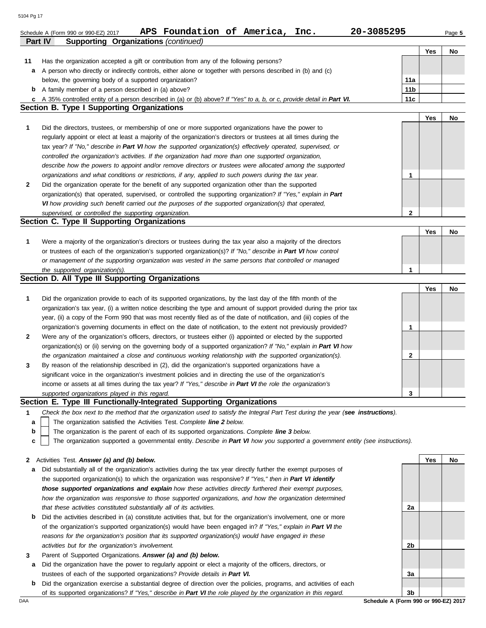| Part IV | <b>Supporting Organizations (continued)</b>                                                                                       |                 |     |    |
|---------|-----------------------------------------------------------------------------------------------------------------------------------|-----------------|-----|----|
|         |                                                                                                                                   |                 | Yes | No |
| 11      | Has the organization accepted a gift or contribution from any of the following persons?                                           |                 |     |    |
| а       | A person who directly or indirectly controls, either alone or together with persons described in (b) and (c)                      |                 |     |    |
|         | below, the governing body of a supported organization?                                                                            | 11a             |     |    |
| b       | A family member of a person described in (a) above?                                                                               | 11 <sub>b</sub> |     |    |
|         | c A 35% controlled entity of a person described in (a) or (b) above? If "Yes" to a, b, or c, provide detail in Part VI.           | 11c             |     |    |
|         | <b>Section B. Type I Supporting Organizations</b>                                                                                 |                 |     |    |
|         |                                                                                                                                   |                 | Yes | No |
| 1       | Did the directors, trustees, or membership of one or more supported organizations have the power to                               |                 |     |    |
|         |                                                                                                                                   |                 |     |    |
|         | regularly appoint or elect at least a majority of the organization's directors or trustees at all times during the                |                 |     |    |
|         | tax year? If "No," describe in Part VI how the supported organization(s) effectively operated, supervised, or                     |                 |     |    |
|         | controlled the organization's activities. If the organization had more than one supported organization,                           |                 |     |    |
|         | describe how the powers to appoint and/or remove directors or trustees were allocated among the supported                         |                 |     |    |
|         | organizations and what conditions or restrictions, if any, applied to such powers during the tax year.                            | 1               |     |    |
| 2       | Did the organization operate for the benefit of any supported organization other than the supported                               |                 |     |    |
|         | organization(s) that operated, supervised, or controlled the supporting organization? If "Yes," explain in Part                   |                 |     |    |
|         | VI how providing such benefit carried out the purposes of the supported organization(s) that operated,                            |                 |     |    |
|         | supervised, or controlled the supporting organization.                                                                            | $\mathbf{2}$    |     |    |
|         | Section C. Type II Supporting Organizations                                                                                       |                 |     |    |
|         |                                                                                                                                   |                 | Yes | No |
| 1       | Were a majority of the organization's directors or trustees during the tax year also a majority of the directors                  |                 |     |    |
|         | or trustees of each of the organization's supported organization(s)? If "No," describe in Part VI how control                     |                 |     |    |
|         | or management of the supporting organization was vested in the same persons that controlled or managed                            |                 |     |    |
|         | the supported organization(s).                                                                                                    | 1               |     |    |
|         | Section D. All Type III Supporting Organizations                                                                                  |                 |     |    |
|         |                                                                                                                                   |                 |     |    |
|         |                                                                                                                                   |                 | Yes | No |
| 1       | Did the organization provide to each of its supported organizations, by the last day of the fifth month of the                    |                 |     |    |
|         | organization's tax year, (i) a written notice describing the type and amount of support provided during the prior tax             |                 |     |    |
|         | year, (ii) a copy of the Form 990 that was most recently filed as of the date of notification, and (iii) copies of the            |                 |     |    |
|         | organization's governing documents in effect on the date of notification, to the extent not previously provided?                  | 1               |     |    |
| 2       | Were any of the organization's officers, directors, or trustees either (i) appointed or elected by the supported                  |                 |     |    |
|         | organization(s) or (ii) serving on the governing body of a supported organization? If "No," explain in Part VI how                |                 |     |    |
|         | the organization maintained a close and continuous working relationship with the supported organization(s).                       | 2               |     |    |
| 3       | By reason of the relationship described in (2), did the organization's supported organizations have a                             |                 |     |    |
|         | significant voice in the organization's investment policies and in directing the use of the organization's                        |                 |     |    |
|         | income or assets at all times during the tax year? If "Yes," describe in Part VI the role the organization's                      |                 |     |    |
|         | supported organizations played in this regard.                                                                                    | 3               |     |    |
|         | Section E. Type III Functionally-Integrated Supporting Organizations                                                              |                 |     |    |
| 1       | Check the box next to the method that the organization used to satisfy the Integral Part Test during the year (see instructions). |                 |     |    |
| а       | The organization satisfied the Activities Test. Complete line 2 below.                                                            |                 |     |    |
| b       | The organization is the parent of each of its supported organizations. Complete line 3 below.                                     |                 |     |    |
| с       | The organization supported a governmental entity. Describe in Part VI how you supported a government entity (see instructions).   |                 |     |    |
|         |                                                                                                                                   |                 |     |    |
|         |                                                                                                                                   |                 |     |    |
| 2       | Activities Test. Answer (a) and (b) below.                                                                                        |                 | Yes | No |
| а       | Did substantially all of the organization's activities during the tax year directly further the exempt purposes of                |                 |     |    |
|         | the supported organization(s) to which the organization was responsive? If "Yes," then in Part VI identify                        |                 |     |    |
|         | those supported organizations and explain how these activities directly furthered their exempt purposes,                          |                 |     |    |
|         | how the organization was responsive to those supported organizations, and how the organization determined                         |                 |     |    |
|         | that these activities constituted substantially all of its activities.                                                            | 2a              |     |    |
| b       | Did the activities described in (a) constitute activities that, but for the organization's involvement, one or more               |                 |     |    |
|         | of the organization's supported organization(s) would have been engaged in? If "Yes," explain in Part VI the                      |                 |     |    |
|         | reasons for the organization's position that its supported organization(s) would have engaged in these                            |                 |     |    |
|         | activities but for the organization's involvement.                                                                                | 2b              |     |    |
| 3       | Parent of Supported Organizations. Answer (a) and (b) below.                                                                      |                 |     |    |
| а       | Did the organization have the power to regularly appoint or elect a majority of the officers, directors, or                       |                 |     |    |
|         | trustees of each of the supported organizations? Provide details in Part VI.                                                      | За              |     |    |
| b       | Did the organization exercise a substantial degree of direction over the policies, programs, and activities of each               |                 |     |    |
|         | of its supported organizations? If "Yes," describe in Part VI the role played by the organization in this regard.                 | 3b              |     |    |
| DAA     | Schedule A (Form 990 or 990-EZ) 2017                                                                                              |                 |     |    |
|         |                                                                                                                                   |                 |     |    |

Schedule A (Form 990 or 990-EZ) 2017 Page **5 APS Foundation of America, Inc. 20-3085295**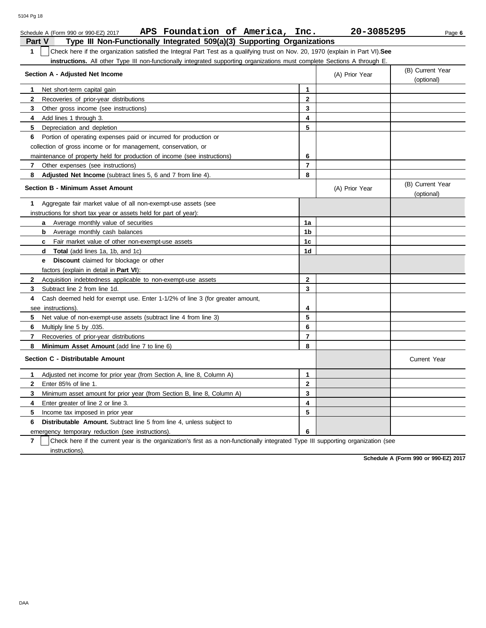| Schedule A (Form 990 or 990-EZ) 2017                                                                                                             | APS Foundation of America, Inc.                                         | 20-3085295     | Page 6                         |
|--------------------------------------------------------------------------------------------------------------------------------------------------|-------------------------------------------------------------------------|----------------|--------------------------------|
| <b>Part V</b>                                                                                                                                    | Type III Non-Functionally Integrated 509(a)(3) Supporting Organizations |                |                                |
| $\mathbf{1}$<br>Check here if the organization satisfied the Integral Part Test as a qualifying trust on Nov. 20, 1970 (explain in Part VI). See |                                                                         |                |                                |
| instructions. All other Type III non-functionally integrated supporting organizations must complete Sections A through E.                        |                                                                         |                |                                |
| Section A - Adjusted Net Income                                                                                                                  |                                                                         | (A) Prior Year | (B) Current Year               |
|                                                                                                                                                  |                                                                         |                | (optional)                     |
| 1<br>Net short-term capital gain                                                                                                                 | $\mathbf{1}$                                                            |                |                                |
| $\mathbf{2}$<br>Recoveries of prior-year distributions                                                                                           | $\overline{2}$                                                          |                |                                |
| Other gross income (see instructions)<br>3                                                                                                       | 3                                                                       |                |                                |
| 4<br>Add lines 1 through 3.                                                                                                                      | 4                                                                       |                |                                |
| 5<br>Depreciation and depletion                                                                                                                  | 5                                                                       |                |                                |
| Portion of operating expenses paid or incurred for production or<br>6                                                                            |                                                                         |                |                                |
| collection of gross income or for management, conservation, or                                                                                   |                                                                         |                |                                |
| maintenance of property held for production of income (see instructions)                                                                         | 6                                                                       |                |                                |
| 7<br>Other expenses (see instructions)                                                                                                           | $\overline{7}$                                                          |                |                                |
| 8<br>Adjusted Net Income (subtract lines 5, 6 and 7 from line 4).                                                                                | 8                                                                       |                |                                |
| <b>Section B - Minimum Asset Amount</b>                                                                                                          |                                                                         | (A) Prior Year | (B) Current Year<br>(optional) |
| 1<br>Aggregate fair market value of all non-exempt-use assets (see                                                                               |                                                                         |                |                                |
| instructions for short tax year or assets held for part of year):                                                                                |                                                                         |                |                                |
| <b>a</b> Average monthly value of securities                                                                                                     | 1a                                                                      |                |                                |
| Average monthly cash balances<br>b                                                                                                               | 1b                                                                      |                |                                |
| <b>c</b> Fair market value of other non-exempt-use assets                                                                                        | 1 <sub>c</sub>                                                          |                |                                |
| <b>d</b> Total (add lines 1a, 1b, and 1c)                                                                                                        | 1d                                                                      |                |                                |
| <b>Discount</b> claimed for blockage or other<br>e –                                                                                             |                                                                         |                |                                |
| factors (explain in detail in <b>Part VI)</b> :                                                                                                  |                                                                         |                |                                |
| Acquisition indebtedness applicable to non-exempt-use assets<br>$\mathbf{2}$                                                                     | $\mathbf{2}$                                                            |                |                                |
| Subtract line 2 from line 1d.<br>3                                                                                                               | 3                                                                       |                |                                |
| 4<br>Cash deemed held for exempt use. Enter 1-1/2% of line 3 (for greater amount,                                                                |                                                                         |                |                                |
| see instructions).                                                                                                                               | 4                                                                       |                |                                |
| 5<br>Net value of non-exempt-use assets (subtract line 4 from line 3)                                                                            | 5                                                                       |                |                                |
| Multiply line 5 by .035.<br>6                                                                                                                    | 6                                                                       |                |                                |
| $\overline{7}$<br>Recoveries of prior-year distributions                                                                                         | $\overline{7}$                                                          |                |                                |
| Minimum Asset Amount (add line 7 to line 6)<br>8                                                                                                 | 8                                                                       |                |                                |
| Section C - Distributable Amount                                                                                                                 |                                                                         |                | <b>Current Year</b>            |
| Adjusted net income for prior year (from Section A, line 8, Column A)<br>$\mathbf 1$                                                             | $\mathbf{1}$                                                            |                |                                |
| $\mathbf{2}$<br>Enter 85% of line 1.                                                                                                             | $\mathbf{2}$                                                            |                |                                |
| Minimum asset amount for prior year (from Section B, line 8, Column A)<br>3                                                                      | 3                                                                       |                |                                |
| 4<br>Enter greater of line 2 or line 3.                                                                                                          | 4                                                                       |                |                                |
| 5<br>Income tax imposed in prior year                                                                                                            | 5                                                                       |                |                                |
| <b>Distributable Amount.</b> Subtract line 5 from line 4, unless subject to<br>6                                                                 |                                                                         |                |                                |
| emergency temporary reduction (see instructions).                                                                                                | 6                                                                       |                |                                |

**7** instructions). Check here if the current year is the organization's first as a non-functionally integrated Type III supporting organization (see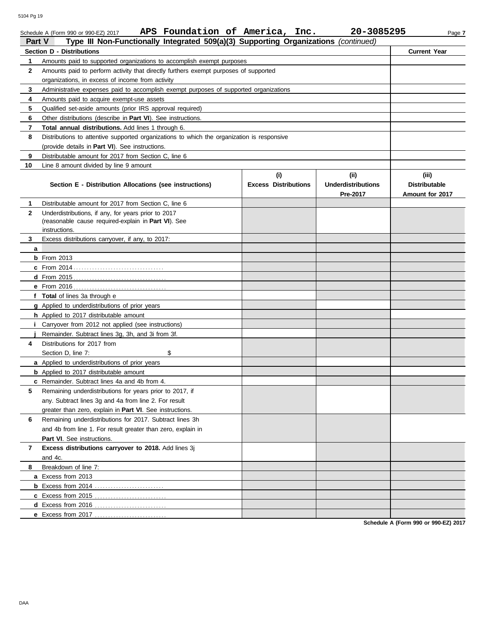| Part V       | Type III Non-Functionally Integrated 509(a)(3) Supporting Organizations (continued)        |                             |                           |                      |
|--------------|--------------------------------------------------------------------------------------------|-----------------------------|---------------------------|----------------------|
|              | <b>Section D - Distributions</b>                                                           |                             |                           | <b>Current Year</b>  |
| 1            | Amounts paid to supported organizations to accomplish exempt purposes                      |                             |                           |                      |
| 2            | Amounts paid to perform activity that directly furthers exempt purposes of supported       |                             |                           |                      |
|              | organizations, in excess of income from activity                                           |                             |                           |                      |
| 3            | Administrative expenses paid to accomplish exempt purposes of supported organizations      |                             |                           |                      |
| 4            | Amounts paid to acquire exempt-use assets                                                  |                             |                           |                      |
| 5            | Qualified set-aside amounts (prior IRS approval required)                                  |                             |                           |                      |
| 6            | Other distributions (describe in <b>Part VI</b> ). See instructions.                       |                             |                           |                      |
| 7            | <b>Total annual distributions.</b> Add lines 1 through 6.                                  |                             |                           |                      |
| 8            | Distributions to attentive supported organizations to which the organization is responsive |                             |                           |                      |
|              | (provide details in <b>Part VI</b> ). See instructions.                                    |                             |                           |                      |
| 9            | Distributable amount for 2017 from Section C, line 6                                       |                             |                           |                      |
| 10           | Line 8 amount divided by line 9 amount                                                     |                             |                           |                      |
|              |                                                                                            | (i)                         | (ii)                      | (iii)                |
|              | Section E - Distribution Allocations (see instructions)                                    | <b>Excess Distributions</b> | <b>Underdistributions</b> | <b>Distributable</b> |
|              |                                                                                            |                             | Pre-2017                  | Amount for 2017      |
| 1            | Distributable amount for 2017 from Section C, line 6                                       |                             |                           |                      |
| $\mathbf{2}$ | Underdistributions, if any, for years prior to 2017                                        |                             |                           |                      |
|              | (reasonable cause required-explain in Part VI). See                                        |                             |                           |                      |
|              | instructions.                                                                              |                             |                           |                      |
| 3            | Excess distributions carryover, if any, to 2017:                                           |                             |                           |                      |
| a            |                                                                                            |                             |                           |                      |
|              | $b$ From 2013                                                                              |                             |                           |                      |
|              |                                                                                            |                             |                           |                      |
|              |                                                                                            |                             |                           |                      |
|              |                                                                                            |                             |                           |                      |
|              | f Total of lines 3a through e                                                              |                             |                           |                      |
|              | <b>g</b> Applied to underdistributions of prior years                                      |                             |                           |                      |
|              | <b>h</b> Applied to 2017 distributable amount                                              |                             |                           |                      |
| Ť.           | Carryover from 2012 not applied (see instructions)                                         |                             |                           |                      |
|              | Remainder. Subtract lines 3g, 3h, and 3i from 3f.                                          |                             |                           |                      |
| 4            | Distributions for 2017 from                                                                |                             |                           |                      |
|              | \$<br>Section D, line 7:                                                                   |                             |                           |                      |
|              | <b>a</b> Applied to underdistributions of prior years                                      |                             |                           |                      |
|              | <b>b</b> Applied to 2017 distributable amount                                              |                             |                           |                      |
|              | c Remainder. Subtract lines 4a and 4b from 4.                                              |                             |                           |                      |
| 5            | Remaining underdistributions for years prior to 2017, if                                   |                             |                           |                      |
|              | any. Subtract lines 3g and 4a from line 2. For result                                      |                             |                           |                      |
|              | greater than zero, explain in Part VI. See instructions.                                   |                             |                           |                      |
| 6            | Remaining underdistributions for 2017. Subtract lines 3h                                   |                             |                           |                      |
|              | and 4b from line 1. For result greater than zero, explain in                               |                             |                           |                      |
|              | Part VI. See instructions.                                                                 |                             |                           |                      |
| 7            | Excess distributions carryover to 2018. Add lines 3j                                       |                             |                           |                      |
|              | and 4c.                                                                                    |                             |                           |                      |
| 8            | Breakdown of line 7:                                                                       |                             |                           |                      |
|              | a Excess from 2013                                                                         |                             |                           |                      |
|              |                                                                                            |                             |                           |                      |
|              | c Excess from 2015                                                                         |                             |                           |                      |
|              |                                                                                            |                             |                           |                      |
|              | e Excess from 2017                                                                         |                             |                           |                      |

Schedule A (Form 990 or 990-EZ) 2017 Page **7 APS Foundation of America, Inc. 20-3085295**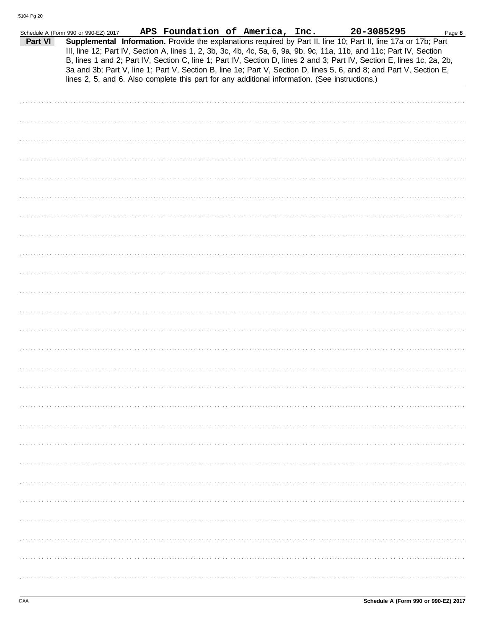| Part VI | Schedule A (Form 990 or 990-EZ) 2017 |  | APS Foundation of America, Inc. | Supplemental Information. Provide the explanations required by Part II, line 10; Part II, line 17a or 17b; Part<br>III, line 12; Part IV, Section A, lines 1, 2, 3b, 3c, 4b, 4c, 5a, 6, 9a, 9b, 9c, 11a, 11b, and 11c; Part IV, Section                                                                                                         | 20-3085295 | Page 8 |
|---------|--------------------------------------|--|---------------------------------|-------------------------------------------------------------------------------------------------------------------------------------------------------------------------------------------------------------------------------------------------------------------------------------------------------------------------------------------------|------------|--------|
|         |                                      |  |                                 | B, lines 1 and 2; Part IV, Section C, line 1; Part IV, Section D, lines 2 and 3; Part IV, Section E, lines 1c, 2a, 2b,<br>3a and 3b; Part V, line 1; Part V, Section B, line 1e; Part V, Section D, lines 5, 6, and 8; and Part V, Section E,<br>lines 2, 5, and 6. Also complete this part for any additional information. (See instructions.) |            |        |
|         |                                      |  |                                 |                                                                                                                                                                                                                                                                                                                                                 |            |        |
|         |                                      |  |                                 |                                                                                                                                                                                                                                                                                                                                                 |            |        |
|         |                                      |  |                                 |                                                                                                                                                                                                                                                                                                                                                 |            |        |
|         |                                      |  |                                 |                                                                                                                                                                                                                                                                                                                                                 |            |        |
|         |                                      |  |                                 |                                                                                                                                                                                                                                                                                                                                                 |            |        |
|         |                                      |  |                                 |                                                                                                                                                                                                                                                                                                                                                 |            |        |
|         |                                      |  |                                 |                                                                                                                                                                                                                                                                                                                                                 |            |        |
|         |                                      |  |                                 |                                                                                                                                                                                                                                                                                                                                                 |            |        |
|         |                                      |  |                                 |                                                                                                                                                                                                                                                                                                                                                 |            |        |
|         |                                      |  |                                 |                                                                                                                                                                                                                                                                                                                                                 |            |        |
|         |                                      |  |                                 |                                                                                                                                                                                                                                                                                                                                                 |            |        |
|         |                                      |  |                                 |                                                                                                                                                                                                                                                                                                                                                 |            |        |
|         |                                      |  |                                 |                                                                                                                                                                                                                                                                                                                                                 |            |        |
|         |                                      |  |                                 |                                                                                                                                                                                                                                                                                                                                                 |            |        |
|         |                                      |  |                                 |                                                                                                                                                                                                                                                                                                                                                 |            |        |
|         |                                      |  |                                 |                                                                                                                                                                                                                                                                                                                                                 |            |        |
|         |                                      |  |                                 |                                                                                                                                                                                                                                                                                                                                                 |            |        |
|         |                                      |  |                                 |                                                                                                                                                                                                                                                                                                                                                 |            |        |
|         |                                      |  |                                 |                                                                                                                                                                                                                                                                                                                                                 |            |        |
|         |                                      |  |                                 |                                                                                                                                                                                                                                                                                                                                                 |            |        |
|         |                                      |  |                                 |                                                                                                                                                                                                                                                                                                                                                 |            |        |
|         |                                      |  |                                 |                                                                                                                                                                                                                                                                                                                                                 |            |        |
|         |                                      |  |                                 |                                                                                                                                                                                                                                                                                                                                                 |            |        |
|         |                                      |  |                                 |                                                                                                                                                                                                                                                                                                                                                 |            |        |
|         |                                      |  |                                 |                                                                                                                                                                                                                                                                                                                                                 |            |        |
|         |                                      |  |                                 |                                                                                                                                                                                                                                                                                                                                                 |            |        |
|         |                                      |  |                                 |                                                                                                                                                                                                                                                                                                                                                 |            |        |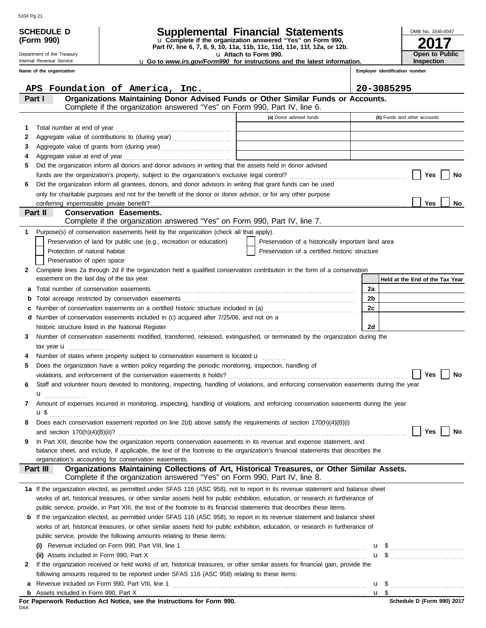| <b>SCHEDULE D</b> |                                           | <b>Supplemental Financial Statements</b>                                                                                                                                                                                                                  | OMB No. 1545-0047 |                                 |
|-------------------|-------------------------------------------|-----------------------------------------------------------------------------------------------------------------------------------------------------------------------------------------------------------------------------------------------------------|-------------------|---------------------------------|
|                   | (Form 990)                                | u Complete if the organization answered "Yes" on Form 990,<br>Part IV, line 6, 7, 8, 9, 10, 11a, 11b, 11c, 11d, 11e, 11f, 12a, or 12b.                                                                                                                    |                   |                                 |
|                   | Department of the Treasury                | u Attach to Form 990.                                                                                                                                                                                                                                     |                   | Open to Public                  |
|                   | Internal Revenue Service                  | <b>u</b> Go to www.irs.gov/Form990 for instructions and the latest information.                                                                                                                                                                           |                   | <b>Inspection</b>               |
|                   | Name of the organization                  |                                                                                                                                                                                                                                                           |                   | Employer identification number  |
|                   |                                           | APS Foundation of America, Inc.                                                                                                                                                                                                                           |                   | 20-3085295                      |
|                   | Part I                                    | Organizations Maintaining Donor Advised Funds or Other Similar Funds or Accounts.                                                                                                                                                                         |                   |                                 |
|                   |                                           | Complete if the organization answered "Yes" on Form 990, Part IV, line 6.                                                                                                                                                                                 |                   |                                 |
|                   |                                           | (a) Donor advised funds                                                                                                                                                                                                                                   |                   | (b) Funds and other accounts    |
| 1                 |                                           |                                                                                                                                                                                                                                                           |                   |                                 |
| 2                 |                                           |                                                                                                                                                                                                                                                           |                   |                                 |
| 3<br>4            |                                           |                                                                                                                                                                                                                                                           |                   |                                 |
| 5                 |                                           | Did the organization inform all donors and donor advisors in writing that the assets held in donor advised                                                                                                                                                |                   |                                 |
|                   |                                           |                                                                                                                                                                                                                                                           |                   | Yes<br>No                       |
| 6                 |                                           | Did the organization inform all grantees, donors, and donor advisors in writing that grant funds can be used                                                                                                                                              |                   |                                 |
|                   |                                           | only for charitable purposes and not for the benefit of the donor or donor advisor, or for any other purpose                                                                                                                                              |                   |                                 |
|                   |                                           |                                                                                                                                                                                                                                                           |                   | <b>Yes</b><br>No                |
|                   | Part II                                   | <b>Conservation Easements.</b>                                                                                                                                                                                                                            |                   |                                 |
|                   |                                           | Complete if the organization answered "Yes" on Form 990, Part IV, line 7.                                                                                                                                                                                 |                   |                                 |
| 1                 |                                           | Purpose(s) of conservation easements held by the organization (check all that apply).                                                                                                                                                                     |                   |                                 |
|                   | Protection of natural habitat             | Preservation of land for public use (e.g., recreation or education)<br>Preservation of a historically important land area<br>Preservation of a certified historic structure                                                                               |                   |                                 |
|                   | Preservation of open space                |                                                                                                                                                                                                                                                           |                   |                                 |
| 2                 |                                           | Complete lines 2a through 2d if the organization held a qualified conservation contribution in the form of a conservation                                                                                                                                 |                   |                                 |
|                   | easement on the last day of the tax year. |                                                                                                                                                                                                                                                           |                   | Held at the End of the Tax Year |
| а                 |                                           |                                                                                                                                                                                                                                                           | 2a                |                                 |
|                   |                                           |                                                                                                                                                                                                                                                           | 2 <sub>b</sub>    |                                 |
|                   |                                           | Number of conservation easements on a certified historic structure included in (a) [[[[[ [ [ ]]]                                                                                                                                                          | 2c                |                                 |
| d                 |                                           | Number of conservation easements included in (c) acquired after 7/25/06, and not on a                                                                                                                                                                     |                   |                                 |
|                   |                                           |                                                                                                                                                                                                                                                           | 2d                |                                 |
| 3                 |                                           | Number of conservation easements modified, transferred, released, extinguished, or terminated by the organization during the                                                                                                                              |                   |                                 |
|                   | tax year $\mathbf u$                      | Number of states where property subject to conservation easement is located <b>u</b>                                                                                                                                                                      |                   |                                 |
| 5                 |                                           | Does the organization have a written policy regarding the periodic monitoring, inspection, handling of                                                                                                                                                    |                   |                                 |
|                   |                                           |                                                                                                                                                                                                                                                           |                   | Yes<br>No                       |
| 6                 |                                           | Staff and volunteer hours devoted to monitoring, inspecting, handling of violations, and enforcing conservation easements during the year                                                                                                                 |                   |                                 |
|                   | $\mathbf{u}$                              |                                                                                                                                                                                                                                                           |                   |                                 |
| 7                 |                                           | Amount of expenses incurred in monitoring, inspecting, handling of violations, and enforcing conservation easements during the year                                                                                                                       |                   |                                 |
|                   | u \$                                      |                                                                                                                                                                                                                                                           |                   |                                 |
| 8                 |                                           | Does each conservation easement reported on line 2(d) above satisfy the requirements of section 170(h)(4)(B)(i)                                                                                                                                           |                   |                                 |
|                   |                                           |                                                                                                                                                                                                                                                           |                   | Yes<br>No                       |
| 9                 |                                           | In Part XIII, describe how the organization reports conservation easements in its revenue and expense statement, and<br>balance sheet, and include, if applicable, the text of the footnote to the organization's financial statements that describes the |                   |                                 |
|                   |                                           | organization's accounting for conservation easements.                                                                                                                                                                                                     |                   |                                 |
|                   | Part III                                  | Organizations Maintaining Collections of Art, Historical Treasures, or Other Similar Assets.<br>Complete if the organization answered "Yes" on Form 990, Part IV, line 8.                                                                                 |                   |                                 |
|                   |                                           | 1a If the organization elected, as permitted under SFAS 116 (ASC 958), not to report in its revenue statement and balance sheet                                                                                                                           |                   |                                 |
|                   |                                           | works of art, historical treasures, or other similar assets held for public exhibition, education, or research in furtherance of                                                                                                                          |                   |                                 |
|                   |                                           | public service, provide, in Part XIII, the text of the footnote to its financial statements that describes these items.                                                                                                                                   |                   |                                 |
| b                 |                                           | If the organization elected, as permitted under SFAS 116 (ASC 958), to report in its revenue statement and balance sheet                                                                                                                                  |                   |                                 |
|                   |                                           | works of art, historical treasures, or other similar assets held for public exhibition, education, or research in furtherance of                                                                                                                          |                   |                                 |
|                   |                                           | public service, provide the following amounts relating to these items:                                                                                                                                                                                    |                   |                                 |
|                   |                                           |                                                                                                                                                                                                                                                           |                   |                                 |
| $\mathbf{2}$      | (ii) Assets included in Form 990, Part X  | If the organization received or held works of art, historical treasures, or other similar assets for financial gain, provide the                                                                                                                          |                   |                                 |
|                   |                                           | following amounts required to be reported under SFAS 116 (ASC 958) relating to these items:                                                                                                                                                               |                   |                                 |
| а                 |                                           |                                                                                                                                                                                                                                                           |                   |                                 |
|                   |                                           |                                                                                                                                                                                                                                                           |                   |                                 |

|            |  |  |  | For Paperwork Reduction Act Notice, see the Instructions for Form 990. |  |  |
|------------|--|--|--|------------------------------------------------------------------------|--|--|
| <b>DAA</b> |  |  |  |                                                                        |  |  |

| $\sim$ |
|--------|
|        |
|        |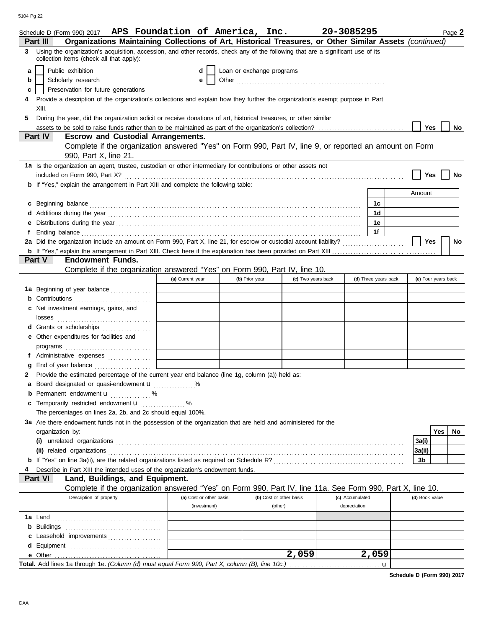|              | Schedule D (Form 990) 2017 APS Foundation of America, Inc.                                                                                                                                                                           |                         |                |                           |                    | 20-3085295           |                | Page 2              |
|--------------|--------------------------------------------------------------------------------------------------------------------------------------------------------------------------------------------------------------------------------------|-------------------------|----------------|---------------------------|--------------------|----------------------|----------------|---------------------|
|              | Organizations Maintaining Collections of Art, Historical Treasures, or Other Similar Assets (continued)<br>Part III                                                                                                                  |                         |                |                           |                    |                      |                |                     |
| 3            | Using the organization's acquisition, accession, and other records, check any of the following that are a significant use of its<br>collection items (check all that apply):                                                         |                         |                |                           |                    |                      |                |                     |
| a            | Public exhibition                                                                                                                                                                                                                    | d                       |                | Loan or exchange programs |                    |                      |                |                     |
| b            | Scholarly research                                                                                                                                                                                                                   | е                       |                |                           |                    |                      |                |                     |
| c            | Preservation for future generations                                                                                                                                                                                                  |                         |                |                           |                    |                      |                |                     |
| 4            | Provide a description of the organization's collections and explain how they further the organization's exempt purpose in Part                                                                                                       |                         |                |                           |                    |                      |                |                     |
|              | XIII.                                                                                                                                                                                                                                |                         |                |                           |                    |                      |                |                     |
| 5            | During the year, did the organization solicit or receive donations of art, historical treasures, or other similar                                                                                                                    |                         |                |                           |                    |                      |                |                     |
|              |                                                                                                                                                                                                                                      |                         |                |                           |                    |                      | Yes            | No                  |
|              | Part IV<br><b>Escrow and Custodial Arrangements.</b>                                                                                                                                                                                 |                         |                |                           |                    |                      |                |                     |
|              | Complete if the organization answered "Yes" on Form 990, Part IV, line 9, or reported an amount on Form                                                                                                                              |                         |                |                           |                    |                      |                |                     |
|              | 990, Part X, line 21.                                                                                                                                                                                                                |                         |                |                           |                    |                      |                |                     |
|              | 1a Is the organization an agent, trustee, custodian or other intermediary for contributions or other assets not                                                                                                                      |                         |                |                           |                    |                      |                |                     |
|              |                                                                                                                                                                                                                                      |                         |                |                           |                    |                      | Yes            | No                  |
|              | <b>b</b> If "Yes," explain the arrangement in Part XIII and complete the following table:                                                                                                                                            |                         |                |                           |                    |                      |                |                     |
|              |                                                                                                                                                                                                                                      |                         |                |                           |                    |                      | Amount         |                     |
|              | c Beginning balance <b>contract to the contract of the set of the contract of the contract of the contract of the contract of the contract of the contract of the contract of the contract of the contract of the contract of th</b> |                         |                |                           |                    | 1c                   |                |                     |
|              |                                                                                                                                                                                                                                      |                         |                |                           |                    | 1d                   |                |                     |
|              |                                                                                                                                                                                                                                      |                         |                |                           |                    | 1e                   |                |                     |
| f.           | Ending balance <b>constructs</b> and constructs and constructs and constructs and constructs and constructs and constructs and constructs and constructs and constructs and constructs and constructs and constructs and constructs  |                         |                |                           |                    | 1f                   |                |                     |
|              |                                                                                                                                                                                                                                      |                         |                |                           |                    |                      | <b>Yes</b>     | No                  |
|              |                                                                                                                                                                                                                                      |                         |                |                           |                    |                      |                |                     |
|              | Part V<br><b>Endowment Funds.</b>                                                                                                                                                                                                    |                         |                |                           |                    |                      |                |                     |
|              | Complete if the organization answered "Yes" on Form 990, Part IV, line 10.                                                                                                                                                           |                         |                |                           |                    |                      |                |                     |
|              |                                                                                                                                                                                                                                      | (a) Current year        | (b) Prior year |                           | (c) Two years back | (d) Three years back |                | (e) Four years back |
|              | 1a Beginning of year balance                                                                                                                                                                                                         |                         |                |                           |                    |                      |                |                     |
|              | <b>b</b> Contributions <b>contributions</b>                                                                                                                                                                                          |                         |                |                           |                    |                      |                |                     |
|              | c Net investment earnings, gains, and                                                                                                                                                                                                |                         |                |                           |                    |                      |                |                     |
|              |                                                                                                                                                                                                                                      |                         |                |                           |                    |                      |                |                     |
|              | d Grants or scholarships<br>e Other expenditures for facilities and                                                                                                                                                                  |                         |                |                           |                    |                      |                |                     |
|              |                                                                                                                                                                                                                                      |                         |                |                           |                    |                      |                |                     |
|              | f Administrative expenses                                                                                                                                                                                                            |                         |                |                           |                    |                      |                |                     |
|              |                                                                                                                                                                                                                                      |                         |                |                           |                    |                      |                |                     |
| $\mathbf{2}$ | Provide the estimated percentage of the current year end balance (line 1g, column (a)) held as:                                                                                                                                      |                         |                |                           |                    |                      |                |                     |
|              | a Board designated or quasi-endowment u                                                                                                                                                                                              |                         |                |                           |                    |                      |                |                     |
|              | <b>b</b> Permanent endowment $\mathbf{u}$ %                                                                                                                                                                                          |                         |                |                           |                    |                      |                |                     |
|              | c Temporarily restricted endowment <b>u</b>                                                                                                                                                                                          |                         |                |                           |                    |                      |                |                     |
|              | The percentages on lines 2a, 2b, and 2c should equal 100%.                                                                                                                                                                           |                         |                |                           |                    |                      |                |                     |
|              | 3a Are there endowment funds not in the possession of the organization that are held and administered for the                                                                                                                        |                         |                |                           |                    |                      |                |                     |
|              | organization by:                                                                                                                                                                                                                     |                         |                |                           |                    |                      |                | Yes<br>No.          |
|              |                                                                                                                                                                                                                                      |                         |                |                           |                    |                      | 3a(i)          |                     |
|              |                                                                                                                                                                                                                                      |                         |                |                           |                    |                      | 3a(ii)         |                     |
|              |                                                                                                                                                                                                                                      |                         |                |                           |                    |                      | 3b             |                     |
|              | Describe in Part XIII the intended uses of the organization's endowment funds.                                                                                                                                                       |                         |                |                           |                    |                      |                |                     |
|              | Part VI<br>Land, Buildings, and Equipment.                                                                                                                                                                                           |                         |                |                           |                    |                      |                |                     |
|              | Complete if the organization answered "Yes" on Form 990, Part IV, line 11a. See Form 990, Part X, line 10.                                                                                                                           |                         |                |                           |                    |                      |                |                     |
|              | Description of property                                                                                                                                                                                                              | (a) Cost or other basis |                | (b) Cost or other basis   |                    | (c) Accumulated      | (d) Book value |                     |
|              |                                                                                                                                                                                                                                      | (investment)            |                | (other)                   |                    | depreciation         |                |                     |
|              |                                                                                                                                                                                                                                      |                         |                |                           |                    |                      |                |                     |
|              |                                                                                                                                                                                                                                      |                         |                |                           |                    |                      |                |                     |
|              | c Leasehold improvements                                                                                                                                                                                                             |                         |                |                           |                    |                      |                |                     |
|              |                                                                                                                                                                                                                                      |                         |                |                           |                    |                      |                |                     |
|              |                                                                                                                                                                                                                                      |                         |                | 2,059                     |                    | 2,059                |                |                     |
|              | Total. Add lines 1a through 1e. (Column (d) must equal Form 990, Part X, column (B), line 10c.)                                                                                                                                      |                         |                |                           |                    | u                    |                |                     |

**Schedule D (Form 990) 2017**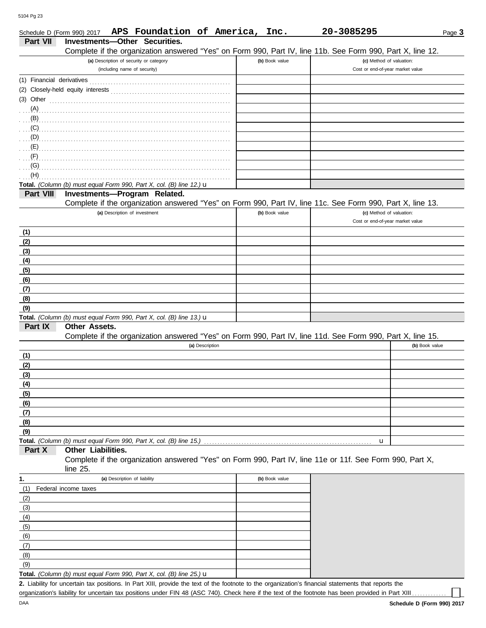| Schedule D (Form 990) 2017 | APS Foundation of America,                                                                                                    | Inc.           | 20-3085295                                                   | Page 3         |
|----------------------------|-------------------------------------------------------------------------------------------------------------------------------|----------------|--------------------------------------------------------------|----------------|
| Part VII                   | Investments-Other Securities.                                                                                                 |                |                                                              |                |
|                            | Complete if the organization answered "Yes" on Form 990, Part IV, line 11b. See Form 990, Part X, line 12.                    |                |                                                              |                |
|                            | (a) Description of security or category<br>(including name of security)                                                       | (b) Book value | (c) Method of valuation:<br>Cost or end-of-year market value |                |
|                            |                                                                                                                               |                |                                                              |                |
|                            |                                                                                                                               |                |                                                              |                |
|                            | (3) Other $\ldots$ and $\ldots$ and $\ldots$ and $\ldots$                                                                     |                |                                                              |                |
| (A)                        |                                                                                                                               |                |                                                              |                |
|                            |                                                                                                                               |                |                                                              |                |
|                            | (C)                                                                                                                           |                |                                                              |                |
|                            |                                                                                                                               |                |                                                              |                |
|                            |                                                                                                                               |                |                                                              |                |
| (G)                        |                                                                                                                               |                |                                                              |                |
| (H)                        |                                                                                                                               |                |                                                              |                |
|                            | Total. (Column (b) must equal Form 990, Part X, col. (B) line 12.) u                                                          |                |                                                              |                |
| Part VIII                  | Investments-Program Related.                                                                                                  |                |                                                              |                |
|                            | Complete if the organization answered "Yes" on Form 990, Part IV, line 11c. See Form 990, Part X, line 13.                    |                |                                                              |                |
|                            | (a) Description of investment                                                                                                 | (b) Book value | (c) Method of valuation:<br>Cost or end-of-year market value |                |
|                            |                                                                                                                               |                |                                                              |                |
| (1)<br>(2)                 |                                                                                                                               |                |                                                              |                |
| (3)                        |                                                                                                                               |                |                                                              |                |
| (4)                        |                                                                                                                               |                |                                                              |                |
| (5)                        |                                                                                                                               |                |                                                              |                |
| (6)                        |                                                                                                                               |                |                                                              |                |
| (7)                        |                                                                                                                               |                |                                                              |                |
| (8)                        |                                                                                                                               |                |                                                              |                |
| (9)                        |                                                                                                                               |                |                                                              |                |
|                            | Total. (Column (b) must equal Form 990, Part X, col. (B) line 13.) u                                                          |                |                                                              |                |
| Part IX                    | <b>Other Assets.</b>                                                                                                          |                |                                                              |                |
|                            | Complete if the organization answered "Yes" on Form 990, Part IV, line 11d. See Form 990, Part X, line 15.<br>(a) Description |                |                                                              | (b) Book value |
| (1)                        |                                                                                                                               |                |                                                              |                |
| (2)                        |                                                                                                                               |                |                                                              |                |
| (3)                        |                                                                                                                               |                |                                                              |                |
| (4)                        |                                                                                                                               |                |                                                              |                |
| (5)                        |                                                                                                                               |                |                                                              |                |
| (6)                        |                                                                                                                               |                |                                                              |                |
| (7)                        |                                                                                                                               |                |                                                              |                |
| (8)                        |                                                                                                                               |                |                                                              |                |
| (9)                        |                                                                                                                               |                |                                                              |                |
| Part X                     | Total. (Column (b) must equal Form 990, Part X, col. (B) line 15.)<br>Other Liabilities.                                      |                | u                                                            |                |
|                            | Complete if the organization answered "Yes" on Form 990, Part IV, line 11e or 11f. See Form 990, Part X,                      |                |                                                              |                |
|                            | line 25.                                                                                                                      |                |                                                              |                |
| 1.                         | (a) Description of liability                                                                                                  | (b) Book value |                                                              |                |
| (1)                        | Federal income taxes                                                                                                          |                |                                                              |                |
| (2)                        |                                                                                                                               |                |                                                              |                |
| (3)                        |                                                                                                                               |                |                                                              |                |
| (4)                        |                                                                                                                               |                |                                                              |                |
| (5)                        |                                                                                                                               |                |                                                              |                |
| (6)                        |                                                                                                                               |                |                                                              |                |
| (7)                        |                                                                                                                               |                |                                                              |                |
| (8)<br>(9)                 |                                                                                                                               |                |                                                              |                |
|                            | Total. (Column (b) must equal Form 990, Part X, col. (B) line 25.) u                                                          |                |                                                              |                |

Liability for uncertain tax positions. In Part XIII, provide the text of the footnote to the organization's financial statements that reports the **2.** organization's liability for uncertain tax positions under FIN 48 (ASC 740). Check here if the text of the footnote has been provided in Part XIII.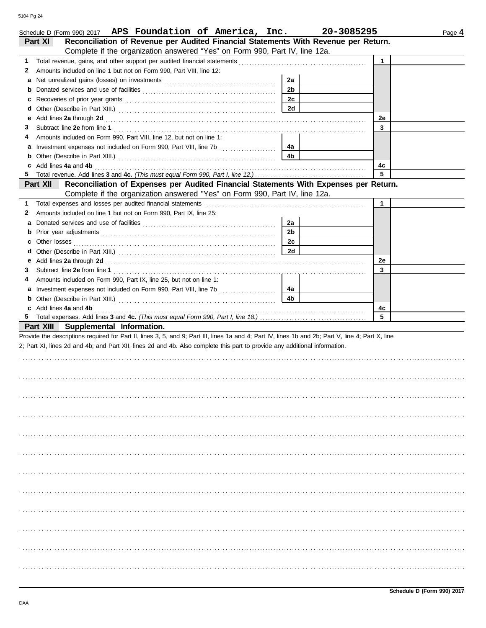| Schedule D (Form 990) 2017 APS Foundation of America, Inc.                                                                                                                                                                          |                | 20-3085295   | Page 4 |
|-------------------------------------------------------------------------------------------------------------------------------------------------------------------------------------------------------------------------------------|----------------|--------------|--------|
| Reconciliation of Revenue per Audited Financial Statements With Revenue per Return.<br>Part XI                                                                                                                                      |                |              |        |
| Complete if the organization answered "Yes" on Form 990, Part IV, line 12a.                                                                                                                                                         |                |              |        |
| 1                                                                                                                                                                                                                                   |                | $\mathbf{1}$ |        |
| Amounts included on line 1 but not on Form 990, Part VIII, line 12:<br>2                                                                                                                                                            |                |              |        |
| а                                                                                                                                                                                                                                   | 2a             |              |        |
| b                                                                                                                                                                                                                                   | 2 <sub>b</sub> |              |        |
| с                                                                                                                                                                                                                                   | 2c             |              |        |
| d                                                                                                                                                                                                                                   | 2d             |              |        |
| Add lines 2a through 2d [11] All and the contract of the contract of the contract of the contract of the contract of the contract of the contract of the contract of the contract of the contract of the contract of the contr<br>е |                | 2e           |        |
| 3                                                                                                                                                                                                                                   |                | 3            |        |
| Amounts included on Form 990, Part VIII, line 12, but not on line 1:<br>4                                                                                                                                                           |                |              |        |
| Investment expenses not included on Form 990, Part VIII, line 7b [<br>a                                                                                                                                                             | 4а             |              |        |
|                                                                                                                                                                                                                                     | 4b             |              |        |
| c Add lines 4a and 4b                                                                                                                                                                                                               |                | 4с           |        |
|                                                                                                                                                                                                                                     |                | 5            |        |
| Reconciliation of Expenses per Audited Financial Statements With Expenses per Return.<br>Part XII                                                                                                                                   |                |              |        |
| Complete if the organization answered "Yes" on Form 990, Part IV, line 12a.                                                                                                                                                         |                |              |        |
| Total expenses and losses per audited financial statements<br>1                                                                                                                                                                     |                | $\mathbf{1}$ |        |
| Amounts included on line 1 but not on Form 990, Part IX, line 25:<br>2                                                                                                                                                              |                |              |        |
| a                                                                                                                                                                                                                                   | 2a             |              |        |
|                                                                                                                                                                                                                                     | 2 <sub>b</sub> |              |        |
| c                                                                                                                                                                                                                                   | 2c             |              |        |
|                                                                                                                                                                                                                                     | 2d             |              |        |
| Add lines 2a through 2d [11, 12] Add lines 2a through 2d [12] Add lines 2a through 2d [12] Add lines 2a through 2d [12] Add and a series with the set of the set of the set of the set of the set of the set of the set of the<br>е |                | 2e           |        |
| 3                                                                                                                                                                                                                                   |                | 3            |        |
| Amounts included on Form 990, Part IX, line 25, but not on line 1:<br>4                                                                                                                                                             |                |              |        |
|                                                                                                                                                                                                                                     | 4a             |              |        |
|                                                                                                                                                                                                                                     | 4b             |              |        |
| c Add lines 4a and 4b                                                                                                                                                                                                               |                | 4c           |        |
|                                                                                                                                                                                                                                     |                | 5            |        |
| Part XIII Supplemental Information.                                                                                                                                                                                                 |                |              |        |
| Provide the descriptions required for Part II, lines 3, 5, and 9; Part III, lines 1a and 4; Part IV, lines 1b and 2b; Part V, line 4; Part X, line                                                                                  |                |              |        |
| 2; Part XI, lines 2d and 4b; and Part XII, lines 2d and 4b. Also complete this part to provide any additional information.                                                                                                          |                |              |        |
|                                                                                                                                                                                                                                     |                |              |        |
|                                                                                                                                                                                                                                     |                |              |        |
|                                                                                                                                                                                                                                     |                |              |        |
|                                                                                                                                                                                                                                     |                |              |        |
|                                                                                                                                                                                                                                     |                |              |        |
|                                                                                                                                                                                                                                     |                |              |        |
|                                                                                                                                                                                                                                     |                |              |        |
|                                                                                                                                                                                                                                     |                |              |        |
|                                                                                                                                                                                                                                     |                |              |        |
|                                                                                                                                                                                                                                     |                |              |        |
|                                                                                                                                                                                                                                     |                |              |        |
|                                                                                                                                                                                                                                     |                |              |        |
|                                                                                                                                                                                                                                     |                |              |        |
|                                                                                                                                                                                                                                     |                |              |        |
|                                                                                                                                                                                                                                     |                |              |        |
|                                                                                                                                                                                                                                     |                |              |        |
|                                                                                                                                                                                                                                     |                |              |        |
|                                                                                                                                                                                                                                     |                |              |        |
|                                                                                                                                                                                                                                     |                |              |        |
|                                                                                                                                                                                                                                     |                |              |        |
|                                                                                                                                                                                                                                     |                |              |        |
|                                                                                                                                                                                                                                     |                |              |        |
|                                                                                                                                                                                                                                     |                |              |        |
|                                                                                                                                                                                                                                     |                |              |        |
|                                                                                                                                                                                                                                     |                |              |        |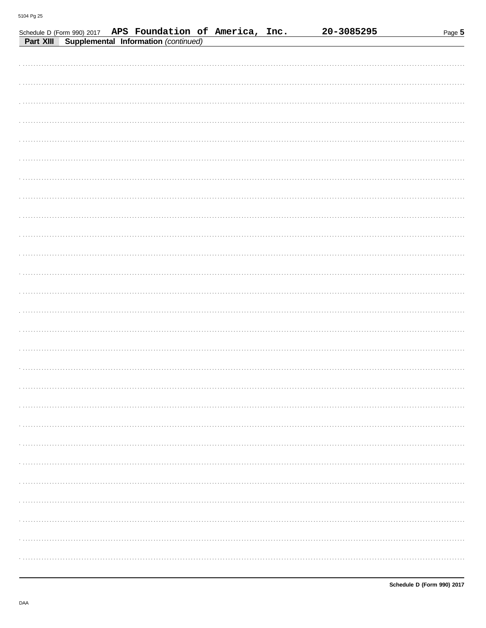| Schedule D (Form 990) 2017 APS Foundation of America, Inc. |                                      |  | 20-3085295 | Page 5 |
|------------------------------------------------------------|--------------------------------------|--|------------|--------|
| Part XIII                                                  | Supplemental Information (continued) |  |            |        |
|                                                            |                                      |  |            |        |
|                                                            |                                      |  |            |        |
|                                                            |                                      |  |            |        |
|                                                            |                                      |  |            |        |
|                                                            |                                      |  |            |        |
|                                                            |                                      |  |            |        |
|                                                            |                                      |  |            |        |
|                                                            |                                      |  |            |        |
|                                                            |                                      |  |            |        |
|                                                            |                                      |  |            |        |
|                                                            |                                      |  |            |        |
|                                                            |                                      |  |            |        |
|                                                            |                                      |  |            |        |
|                                                            |                                      |  |            |        |
|                                                            |                                      |  |            |        |
|                                                            |                                      |  |            |        |
|                                                            |                                      |  |            |        |
|                                                            |                                      |  |            |        |
|                                                            |                                      |  |            |        |
|                                                            |                                      |  |            |        |
|                                                            |                                      |  |            |        |
|                                                            |                                      |  |            |        |
|                                                            |                                      |  |            |        |
|                                                            |                                      |  |            |        |
|                                                            |                                      |  |            |        |
|                                                            |                                      |  |            |        |
|                                                            |                                      |  |            |        |
|                                                            |                                      |  |            |        |
|                                                            |                                      |  |            |        |
|                                                            |                                      |  |            |        |
|                                                            |                                      |  |            |        |
|                                                            |                                      |  |            |        |
|                                                            |                                      |  |            |        |
|                                                            |                                      |  |            |        |
|                                                            |                                      |  |            |        |
|                                                            |                                      |  |            |        |
|                                                            |                                      |  |            |        |
|                                                            |                                      |  |            |        |
|                                                            |                                      |  |            |        |